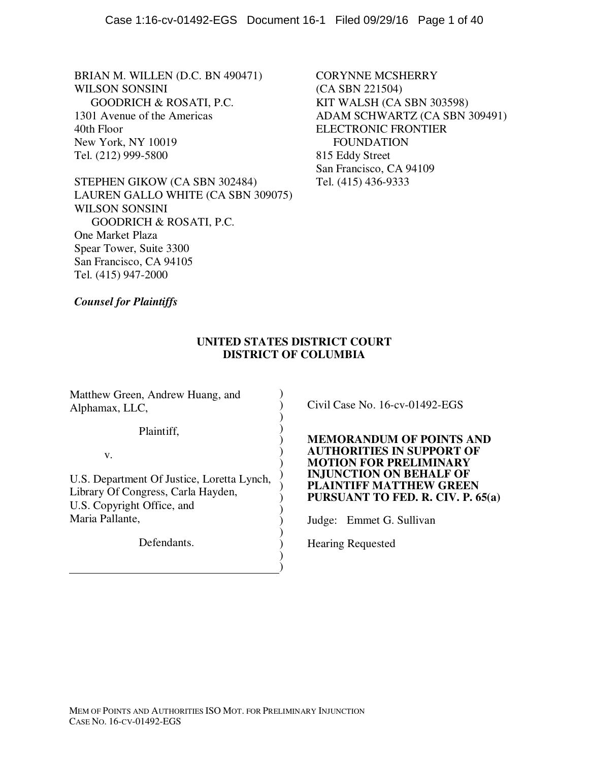BRIAN M. WILLEN (D.C. BN 490471) WILSON SONSINI GOODRICH & ROSATI, P.C. 1301 Avenue of the Americas 40th Floor New York, NY 10019 Tel. (212) 999-5800

STEPHEN GIKOW (CA SBN 302484) LAUREN GALLO WHITE (CA SBN 309075) WILSON SONSINI GOODRICH & ROSATI, P.C. One Market Plaza Spear Tower, Suite 3300 San Francisco, CA 94105 Tel. (415) 947-2000

CORYNNE MCSHERRY (CA SBN 221504) KIT WALSH (CA SBN 303598) ADAM SCHWARTZ (CA SBN 309491) ELECTRONIC FRONTIER FOUNDATION 815 Eddy Street San Francisco, CA 94109 Tel. (415) 436-9333

*Counsel for Plaintiffs* 

# **UNITED STATES DISTRICT COURT DISTRICT OF COLUMBIA**

) ) ) ) ) ) ) ) ) ) ) ) ) ) ) )

Matthew Green, Andrew Huang, and Alphamax, LLC,

Plaintiff,

v.

U.S. Department Of Justice, Loretta Lynch, Library Of Congress, Carla Hayden, U.S. Copyright Office, and Maria Pallante,

Defendants.

Civil Case No. 16-cv-01492-EGS

**MEMORANDUM OF POINTS AND AUTHORITIES IN SUPPORT OF MOTION FOR PRELIMINARY INJUNCTION ON BEHALF OF PLAINTIFF MATTHEW GREEN PURSUANT TO FED. R. CIV. P. 65(a)** 

Judge: Emmet G. Sullivan

Hearing Requested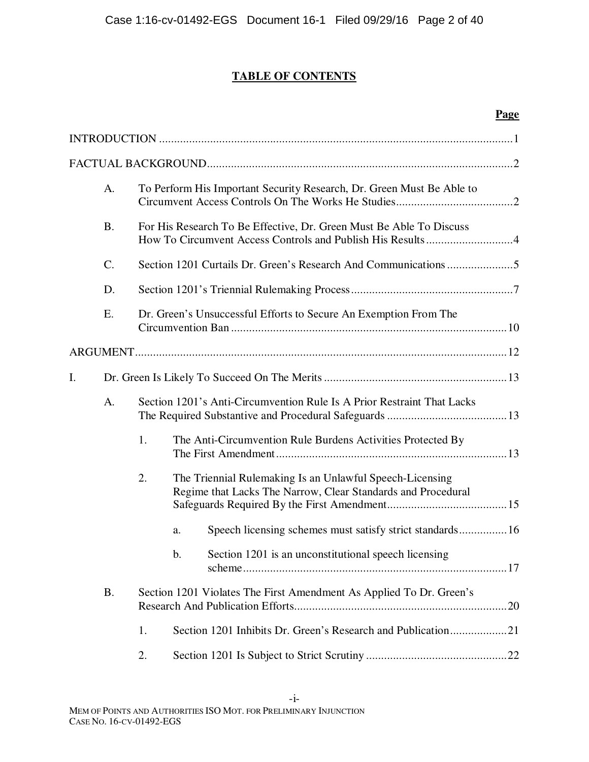# **TABLE OF CONTENTS**

|    |           |    |                                                                                                                          | <b>Page</b> |
|----|-----------|----|--------------------------------------------------------------------------------------------------------------------------|-------------|
|    |           |    |                                                                                                                          |             |
|    |           |    |                                                                                                                          |             |
|    | A.        |    | To Perform His Important Security Research, Dr. Green Must Be Able to                                                    |             |
|    | <b>B.</b> |    | For His Research To Be Effective, Dr. Green Must Be Able To Discuss                                                      |             |
|    | $C$ .     |    |                                                                                                                          |             |
|    | D.        |    |                                                                                                                          |             |
|    | E.        |    | Dr. Green's Unsuccessful Efforts to Secure An Exemption From The                                                         |             |
|    |           |    |                                                                                                                          |             |
| I. |           |    |                                                                                                                          |             |
|    | A.        |    | Section 1201's Anti-Circumvention Rule Is A Prior Restraint That Lacks                                                   |             |
|    |           | 1. | The Anti-Circumvention Rule Burdens Activities Protected By                                                              |             |
|    |           | 2. | The Triennial Rulemaking Is an Unlawful Speech-Licensing<br>Regime that Lacks The Narrow, Clear Standards and Procedural |             |
|    |           |    | a.                                                                                                                       |             |
|    |           |    | $\mathbf b$ .<br>Section 1201 is an unconstitutional speech licensing                                                    |             |
|    | <b>B.</b> |    | Section 1201 Violates The First Amendment As Applied To Dr. Green's                                                      |             |
|    |           | 1. |                                                                                                                          |             |
|    |           | 2. |                                                                                                                          |             |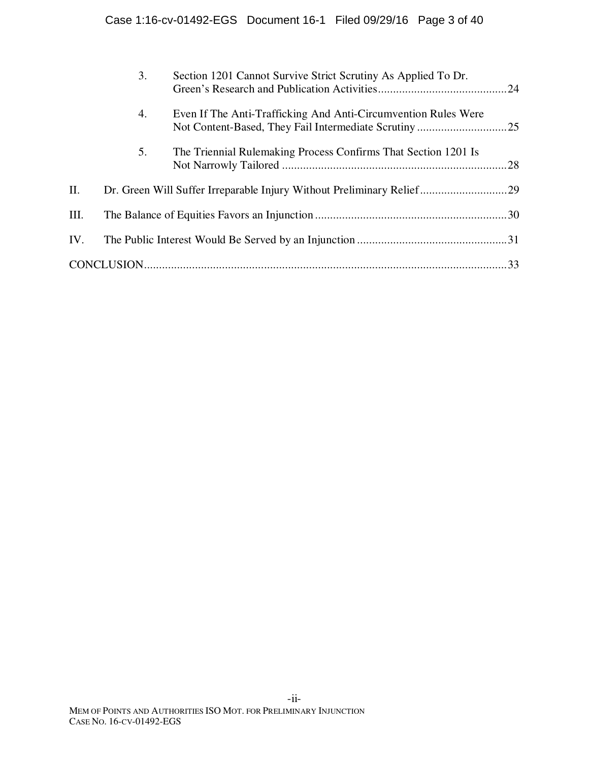| Even If The Anti-Trafficking And Anti-Circumvention Rules Were<br>4.<br>5.<br>The Triennial Rulemaking Process Confirms That Section 1201 Is<br>Η.<br>Dr. Green Will Suffer Irreparable Injury Without Preliminary Relief29<br>III.<br>IV. | 3. | Section 1201 Cannot Survive Strict Scrutiny As Applied To Dr. |  |
|--------------------------------------------------------------------------------------------------------------------------------------------------------------------------------------------------------------------------------------------|----|---------------------------------------------------------------|--|
|                                                                                                                                                                                                                                            |    |                                                               |  |
|                                                                                                                                                                                                                                            |    |                                                               |  |
|                                                                                                                                                                                                                                            |    |                                                               |  |
|                                                                                                                                                                                                                                            |    |                                                               |  |
|                                                                                                                                                                                                                                            |    |                                                               |  |
|                                                                                                                                                                                                                                            |    |                                                               |  |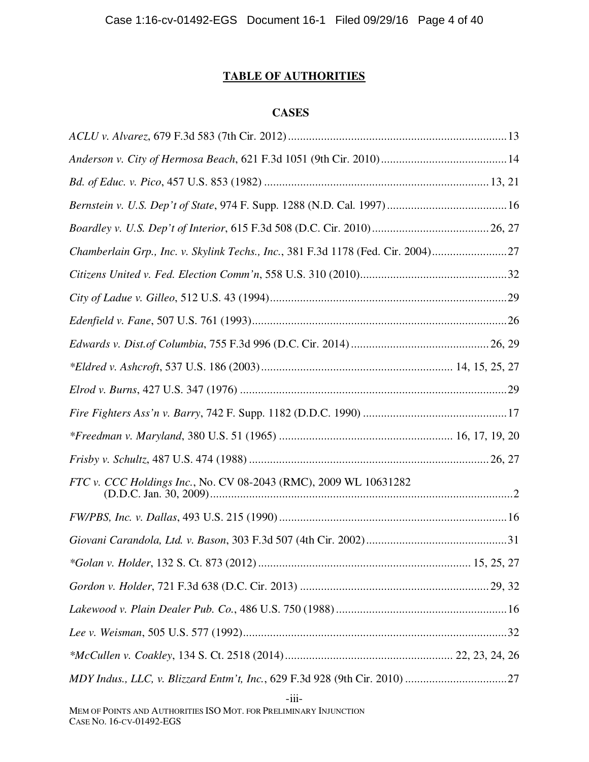# **TABLE OF AUTHORITIES**

## **CASES**

| Chamberlain Grp., Inc. v. Skylink Techs., Inc., 381 F.3d 1178 (Fed. Cir. 2004)27 |
|----------------------------------------------------------------------------------|
|                                                                                  |
|                                                                                  |
|                                                                                  |
|                                                                                  |
|                                                                                  |
|                                                                                  |
|                                                                                  |
|                                                                                  |
|                                                                                  |
|                                                                                  |
|                                                                                  |
|                                                                                  |
|                                                                                  |
|                                                                                  |
|                                                                                  |
|                                                                                  |
|                                                                                  |
|                                                                                  |
|                                                                                  |

-iii-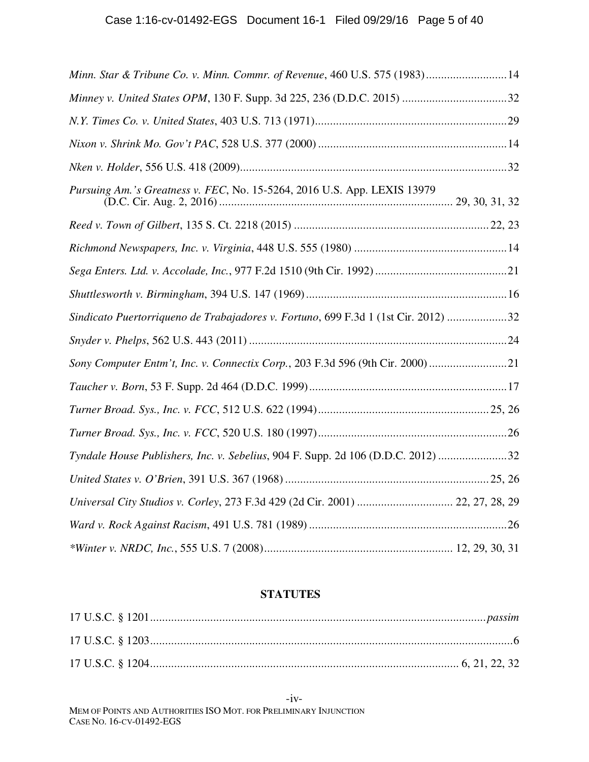| Minn. Star & Tribune Co. v. Minn. Commr. of Revenue, 460 U.S. 575 (1983) 14        |  |
|------------------------------------------------------------------------------------|--|
|                                                                                    |  |
|                                                                                    |  |
|                                                                                    |  |
|                                                                                    |  |
| Pursuing Am.'s Greatness v. FEC, No. 15-5264, 2016 U.S. App. LEXIS 13979           |  |
|                                                                                    |  |
|                                                                                    |  |
|                                                                                    |  |
|                                                                                    |  |
| Sindicato Puertorriqueno de Trabajadores v. Fortuno, 699 F.3d 1 (1st Cir. 2012) 32 |  |
|                                                                                    |  |
| Sony Computer Entm't, Inc. v. Connectix Corp., 203 F.3d 596 (9th Cir. 2000) 21     |  |
|                                                                                    |  |
|                                                                                    |  |
|                                                                                    |  |
| Tyndale House Publishers, Inc. v. Sebelius, 904 F. Supp. 2d 106 (D.D.C. 2012) 32   |  |
|                                                                                    |  |
| Universal City Studios v. Corley, 273 F.3d 429 (2d Cir. 2001)  22, 27, 28, 29      |  |
|                                                                                    |  |
|                                                                                    |  |

# **STATUTES**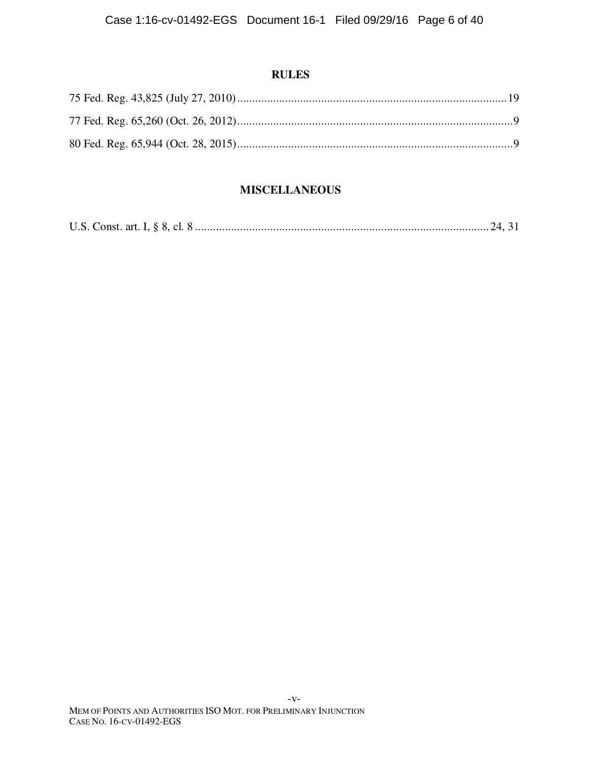# **RULES**

# **MISCELLANEOUS**

|--|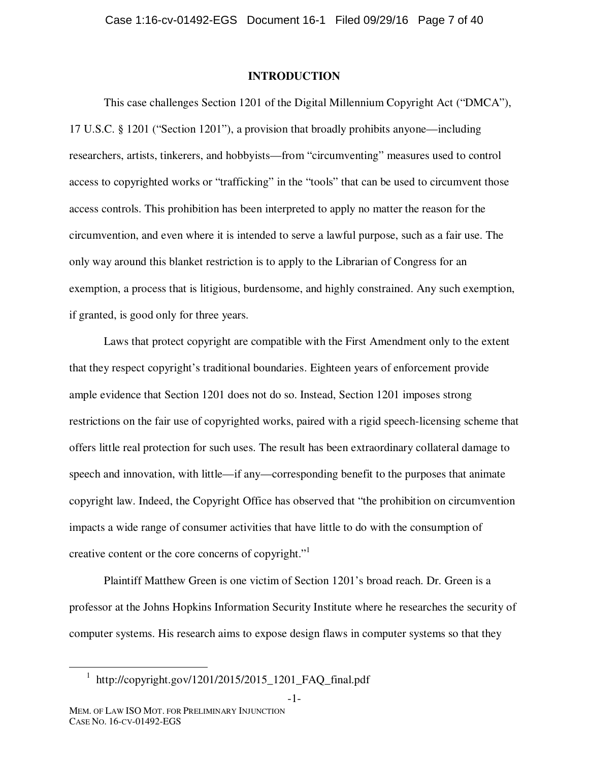#### **INTRODUCTION**

This case challenges Section 1201 of the Digital Millennium Copyright Act ("DMCA"), 17 U.S.C. § 1201 ("Section 1201"), a provision that broadly prohibits anyone—including researchers, artists, tinkerers, and hobbyists—from "circumventing" measures used to control access to copyrighted works or "trafficking" in the "tools" that can be used to circumvent those access controls. This prohibition has been interpreted to apply no matter the reason for the circumvention, and even where it is intended to serve a lawful purpose, such as a fair use. The only way around this blanket restriction is to apply to the Librarian of Congress for an exemption, a process that is litigious, burdensome, and highly constrained. Any such exemption, if granted, is good only for three years.

Laws that protect copyright are compatible with the First Amendment only to the extent that they respect copyright's traditional boundaries. Eighteen years of enforcement provide ample evidence that Section 1201 does not do so. Instead, Section 1201 imposes strong restrictions on the fair use of copyrighted works, paired with a rigid speech-licensing scheme that offers little real protection for such uses. The result has been extraordinary collateral damage to speech and innovation, with little—if any—corresponding benefit to the purposes that animate copyright law. Indeed, the Copyright Office has observed that "the prohibition on circumvention impacts a wide range of consumer activities that have little to do with the consumption of creative content or the core concerns of copyright."<sup>1</sup>

Plaintiff Matthew Green is one victim of Section 1201's broad reach. Dr. Green is a professor at the Johns Hopkins Information Security Institute where he researches the security of computer systems. His research aims to expose design flaws in computer systems so that they

-1-

 <sup>1</sup> http://copyright.gov/1201/2015/2015\_1201\_FAQ\_final.pdf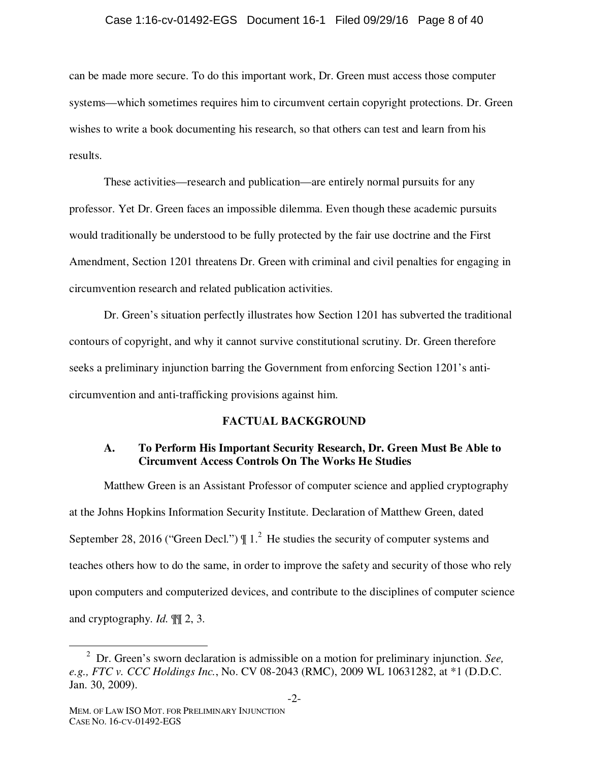#### Case 1:16-cv-01492-EGS Document 16-1 Filed 09/29/16 Page 8 of 40

can be made more secure. To do this important work, Dr. Green must access those computer systems—which sometimes requires him to circumvent certain copyright protections. Dr. Green wishes to write a book documenting his research, so that others can test and learn from his results.

These activities—research and publication—are entirely normal pursuits for any professor. Yet Dr. Green faces an impossible dilemma. Even though these academic pursuits would traditionally be understood to be fully protected by the fair use doctrine and the First Amendment, Section 1201 threatens Dr. Green with criminal and civil penalties for engaging in circumvention research and related publication activities.

Dr. Green's situation perfectly illustrates how Section 1201 has subverted the traditional contours of copyright, and why it cannot survive constitutional scrutiny. Dr. Green therefore seeks a preliminary injunction barring the Government from enforcing Section 1201's anticircumvention and anti-trafficking provisions against him.

### **FACTUAL BACKGROUND**

## **A. To Perform His Important Security Research, Dr. Green Must Be Able to Circumvent Access Controls On The Works He Studies**

Matthew Green is an Assistant Professor of computer science and applied cryptography at the Johns Hopkins Information Security Institute. Declaration of Matthew Green, dated September 28, 2016 ("Green Decl.")  $\parallel$  1.<sup>2</sup> He studies the security of computer systems and teaches others how to do the same, in order to improve the safety and security of those who rely upon computers and computerized devices, and contribute to the disciplines of computer science and cryptography. *Id.* ¶¶ 2, 3.

<sup>&</sup>lt;sup>2</sup> Dr. Green's sworn declaration is admissible on a motion for preliminary injunction. *See*, *e.g., FTC v. CCC Holdings Inc.*, No. CV 08-2043 (RMC), 2009 WL 10631282, at \*1 (D.D.C. Jan. 30, 2009).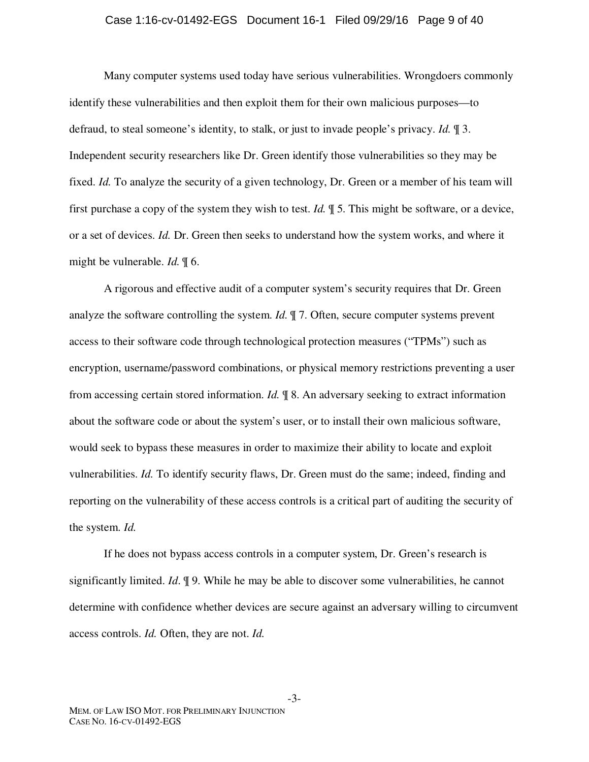#### Case 1:16-cv-01492-EGS Document 16-1 Filed 09/29/16 Page 9 of 40

Many computer systems used today have serious vulnerabilities. Wrongdoers commonly identify these vulnerabilities and then exploit them for their own malicious purposes—to defraud, to steal someone's identity, to stalk, or just to invade people's privacy. *Id.* ¶ 3. Independent security researchers like Dr. Green identify those vulnerabilities so they may be fixed. *Id.* To analyze the security of a given technology, Dr. Green or a member of his team will first purchase a copy of the system they wish to test. *Id.* ¶ 5. This might be software, or a device, or a set of devices. *Id.* Dr. Green then seeks to understand how the system works, and where it might be vulnerable. *Id.* ¶ 6.

A rigorous and effective audit of a computer system's security requires that Dr. Green analyze the software controlling the system. *Id.* ¶ 7. Often, secure computer systems prevent access to their software code through technological protection measures ("TPMs") such as encryption, username/password combinations, or physical memory restrictions preventing a user from accessing certain stored information. *Id.* ¶ 8. An adversary seeking to extract information about the software code or about the system's user, or to install their own malicious software, would seek to bypass these measures in order to maximize their ability to locate and exploit vulnerabilities. *Id.* To identify security flaws, Dr. Green must do the same; indeed, finding and reporting on the vulnerability of these access controls is a critical part of auditing the security of the system. *Id.* 

If he does not bypass access controls in a computer system, Dr. Green's research is significantly limited. *Id*. ¶ 9. While he may be able to discover some vulnerabilities, he cannot determine with confidence whether devices are secure against an adversary willing to circumvent access controls. *Id.* Often, they are not. *Id.* 

-3-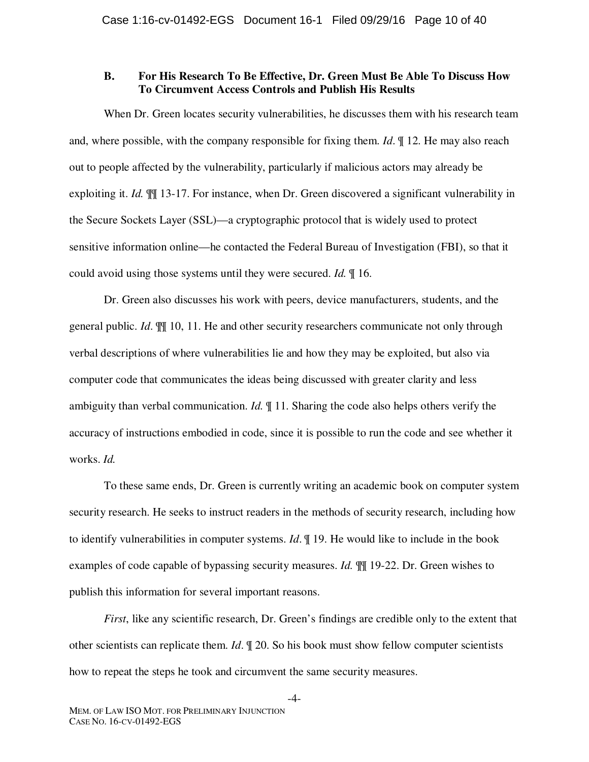## **B. For His Research To Be Effective, Dr. Green Must Be Able To Discuss How To Circumvent Access Controls and Publish His Results**

When Dr. Green locates security vulnerabilities, he discusses them with his research team and, where possible, with the company responsible for fixing them. *Id*. ¶ 12. He may also reach out to people affected by the vulnerability, particularly if malicious actors may already be exploiting it. *Id.* ¶¶ 13-17. For instance, when Dr. Green discovered a significant vulnerability in the Secure Sockets Layer (SSL)—a cryptographic protocol that is widely used to protect sensitive information online—he contacted the Federal Bureau of Investigation (FBI), so that it could avoid using those systems until they were secured. *Id.* ¶ 16.

Dr. Green also discusses his work with peers, device manufacturers, students, and the general public. *Id*. ¶¶ 10, 11. He and other security researchers communicate not only through verbal descriptions of where vulnerabilities lie and how they may be exploited, but also via computer code that communicates the ideas being discussed with greater clarity and less ambiguity than verbal communication. *Id.* ¶ 11. Sharing the code also helps others verify the accuracy of instructions embodied in code, since it is possible to run the code and see whether it works. *Id.*

To these same ends, Dr. Green is currently writing an academic book on computer system security research. He seeks to instruct readers in the methods of security research, including how to identify vulnerabilities in computer systems. *Id*. ¶ 19. He would like to include in the book examples of code capable of bypassing security measures. *Id.* ¶¶ 19-22. Dr. Green wishes to publish this information for several important reasons.

*First*, like any scientific research, Dr. Green's findings are credible only to the extent that other scientists can replicate them. *Id*. ¶ 20. So his book must show fellow computer scientists how to repeat the steps he took and circumvent the same security measures.

-4-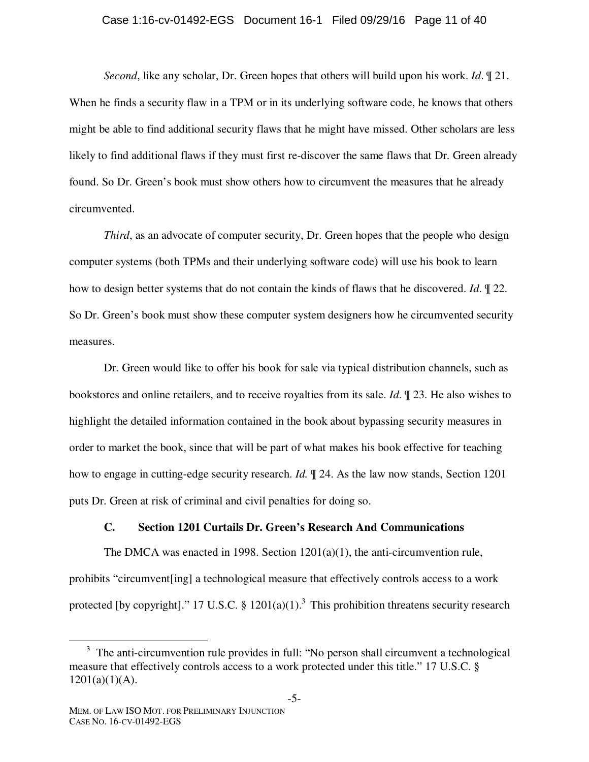#### Case 1:16-cv-01492-EGS Document 16-1 Filed 09/29/16 Page 11 of 40

*Second*, like any scholar, Dr. Green hopes that others will build upon his work. *Id*. ¶ 21. When he finds a security flaw in a TPM or in its underlying software code, he knows that others might be able to find additional security flaws that he might have missed. Other scholars are less likely to find additional flaws if they must first re-discover the same flaws that Dr. Green already found. So Dr. Green's book must show others how to circumvent the measures that he already circumvented.

*Third*, as an advocate of computer security, Dr. Green hopes that the people who design computer systems (both TPMs and their underlying software code) will use his book to learn how to design better systems that do not contain the kinds of flaws that he discovered. *Id*. ¶ 22. So Dr. Green's book must show these computer system designers how he circumvented security measures.

Dr. Green would like to offer his book for sale via typical distribution channels, such as bookstores and online retailers, and to receive royalties from its sale. *Id*. ¶ 23. He also wishes to highlight the detailed information contained in the book about bypassing security measures in order to market the book, since that will be part of what makes his book effective for teaching how to engage in cutting-edge security research. *Id.* ¶ 24. As the law now stands, Section 1201 puts Dr. Green at risk of criminal and civil penalties for doing so.

### **C. Section 1201 Curtails Dr. Green's Research And Communications**

The DMCA was enacted in 1998. Section  $1201(a)(1)$ , the anti-circumvention rule, prohibits "circumvent[ing] a technological measure that effectively controls access to a work protected [by copyright]." 17 U.S.C. §  $1201(a)(1)$ .<sup>3</sup> This prohibition threatens security research

 $\frac{1}{3}$  $3\text{ The anti-circumvention rule provides in full: "No person shall circumvent a technological"$ measure that effectively controls access to a work protected under this title." 17 U.S.C. §  $1201(a)(1)(A)$ .

MEM. OF LAW ISO MOT. FOR PRELIMINARY INJUNCTION CASE NO. 16-CV-01492-EGS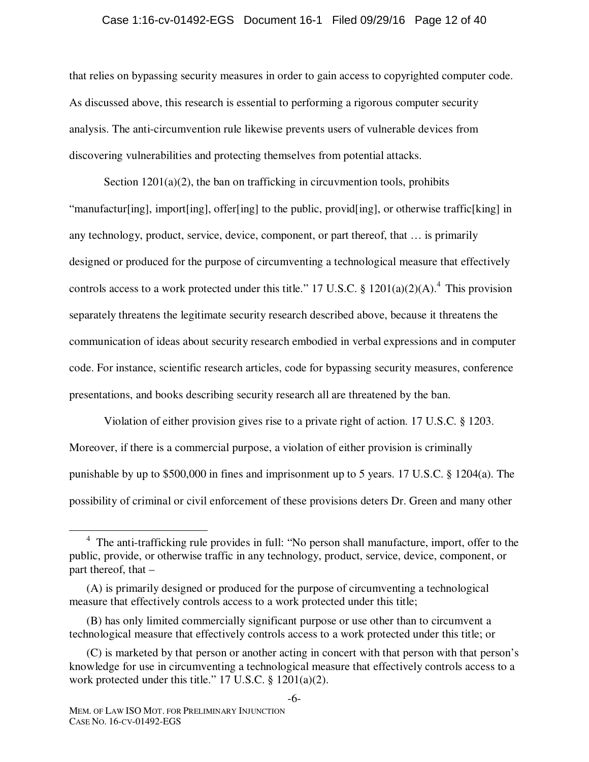#### Case 1:16-cv-01492-EGS Document 16-1 Filed 09/29/16 Page 12 of 40

that relies on bypassing security measures in order to gain access to copyrighted computer code. As discussed above, this research is essential to performing a rigorous computer security analysis. The anti-circumvention rule likewise prevents users of vulnerable devices from discovering vulnerabilities and protecting themselves from potential attacks.

Section 1201(a)(2), the ban on trafficking in circuvmention tools, prohibits "manufactur[ing], import[ing], offer[ing] to the public, provid[ing], or otherwise traffic[king] in any technology, product, service, device, component, or part thereof, that … is primarily designed or produced for the purpose of circumventing a technological measure that effectively controls access to a work protected under this title." 17 U.S.C.  $\S 1201(a)(2)(A)$ .<sup>4</sup> This provision separately threatens the legitimate security research described above, because it threatens the communication of ideas about security research embodied in verbal expressions and in computer code. For instance, scientific research articles, code for bypassing security measures, conference presentations, and books describing security research all are threatened by the ban.

Violation of either provision gives rise to a private right of action. 17 U.S.C. § 1203. Moreover, if there is a commercial purpose, a violation of either provision is criminally punishable by up to \$500,000 in fines and imprisonment up to 5 years. 17 U.S.C. § 1204(a). The possibility of criminal or civil enforcement of these provisions deters Dr. Green and many other

 $\frac{1}{4}$  $<sup>4</sup>$  The anti-trafficking rule provides in full: "No person shall manufacture, import, offer to the</sup> public, provide, or otherwise traffic in any technology, product, service, device, component, or part thereof, that –

<sup>(</sup>A) is primarily designed or produced for the purpose of circumventing a technological measure that effectively controls access to a work protected under this title;

<sup>(</sup>B) has only limited commercially significant purpose or use other than to circumvent a technological measure that effectively controls access to a work protected under this title; or

<sup>(</sup>C) is marketed by that person or another acting in concert with that person with that person's knowledge for use in circumventing a technological measure that effectively controls access to a work protected under this title." 17 U.S.C. § 1201(a)(2).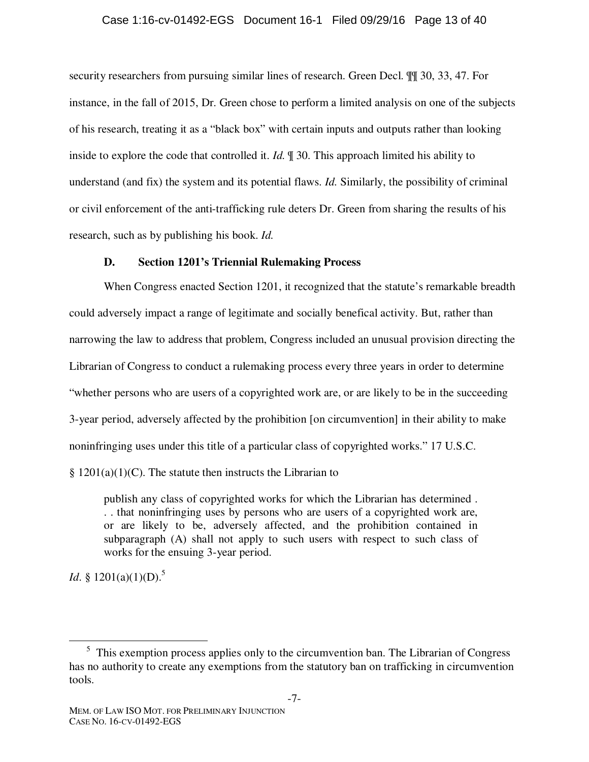#### Case 1:16-cv-01492-EGS Document 16-1 Filed 09/29/16 Page 13 of 40

security researchers from pursuing similar lines of research. Green Decl. ¶¶ 30, 33, 47. For instance, in the fall of 2015, Dr. Green chose to perform a limited analysis on one of the subjects of his research, treating it as a "black box" with certain inputs and outputs rather than looking inside to explore the code that controlled it. *Id.* ¶ 30. This approach limited his ability to understand (and fix) the system and its potential flaws. *Id.* Similarly, the possibility of criminal or civil enforcement of the anti-trafficking rule deters Dr. Green from sharing the results of his research, such as by publishing his book. *Id.* 

### **D. Section 1201's Triennial Rulemaking Process**

When Congress enacted Section 1201, it recognized that the statute's remarkable breadth could adversely impact a range of legitimate and socially benefical activity. But, rather than narrowing the law to address that problem, Congress included an unusual provision directing the Librarian of Congress to conduct a rulemaking process every three years in order to determine "whether persons who are users of a copyrighted work are, or are likely to be in the succeeding 3-year period, adversely affected by the prohibition [on circumvention] in their ability to make noninfringing uses under this title of a particular class of copyrighted works." 17 U.S.C.

 $§ 1201(a)(1)(C)$ . The statute then instructs the Librarian to

publish any class of copyrighted works for which the Librarian has determined . . . that noninfringing uses by persons who are users of a copyrighted work are, or are likely to be, adversely affected, and the prohibition contained in subparagraph (A) shall not apply to such users with respect to such class of works for the ensuing 3-year period.

*Id.* § 1201(a)(1)(D).<sup>5</sup>

<sup>&</sup>lt;sup>5</sup> This exemption process applies only to the circumvention ban. The Librarian of Congress has no authority to create any exemptions from the statutory ban on trafficking in circumvention tools.

MEM. OF LAW ISO MOT. FOR PRELIMINARY INJUNCTION CASE NO. 16-CV-01492-EGS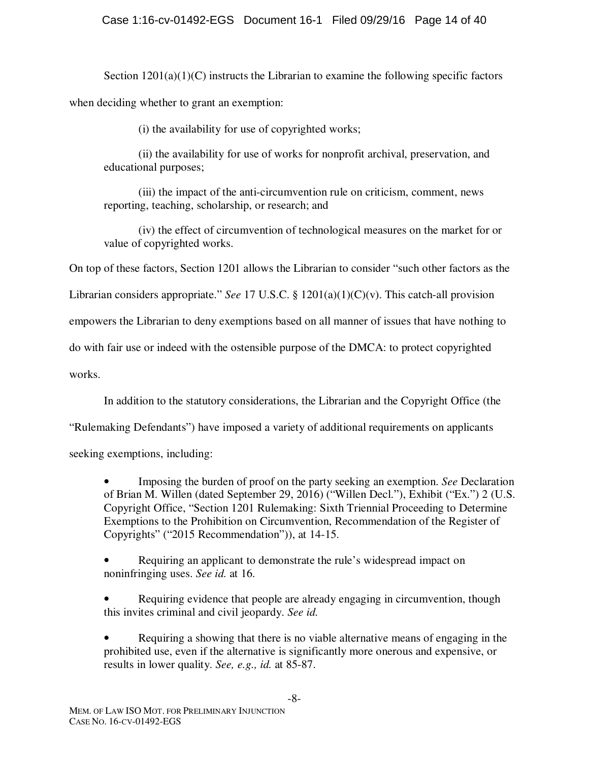Section  $1201(a)(1)(C)$  instructs the Librarian to examine the following specific factors when deciding whether to grant an exemption:

(i) the availability for use of copyrighted works;

(ii) the availability for use of works for nonprofit archival, preservation, and educational purposes;

(iii) the impact of the anti-circumvention rule on criticism, comment, news reporting, teaching, scholarship, or research; and

(iv) the effect of circumvention of technological measures on the market for or value of copyrighted works.

On top of these factors, Section 1201 allows the Librarian to consider "such other factors as the

Librarian considers appropriate." *See* 17 U.S.C. § 1201(a)(1)(C)(v). This catch-all provision

empowers the Librarian to deny exemptions based on all manner of issues that have nothing to

do with fair use or indeed with the ostensible purpose of the DMCA: to protect copyrighted

works.

In addition to the statutory considerations, the Librarian and the Copyright Office (the

"Rulemaking Defendants") have imposed a variety of additional requirements on applicants

seeking exemptions, including:

• Imposing the burden of proof on the party seeking an exemption. *See* Declaration of Brian M. Willen (dated September 29, 2016) ("Willen Decl."), Exhibit ("Ex.") 2 (U.S. Copyright Office, "Section 1201 Rulemaking: Sixth Triennial Proceeding to Determine Exemptions to the Prohibition on Circumvention, Recommendation of the Register of Copyrights" ("2015 Recommendation")), at 14-15.

• Requiring an applicant to demonstrate the rule's widespread impact on noninfringing uses. *See id.* at 16.

• Requiring evidence that people are already engaging in circumvention, though this invites criminal and civil jeopardy. *See id.*

• Requiring a showing that there is no viable alternative means of engaging in the prohibited use, even if the alternative is significantly more onerous and expensive, or results in lower quality. *See, e.g., id.* at 85-87.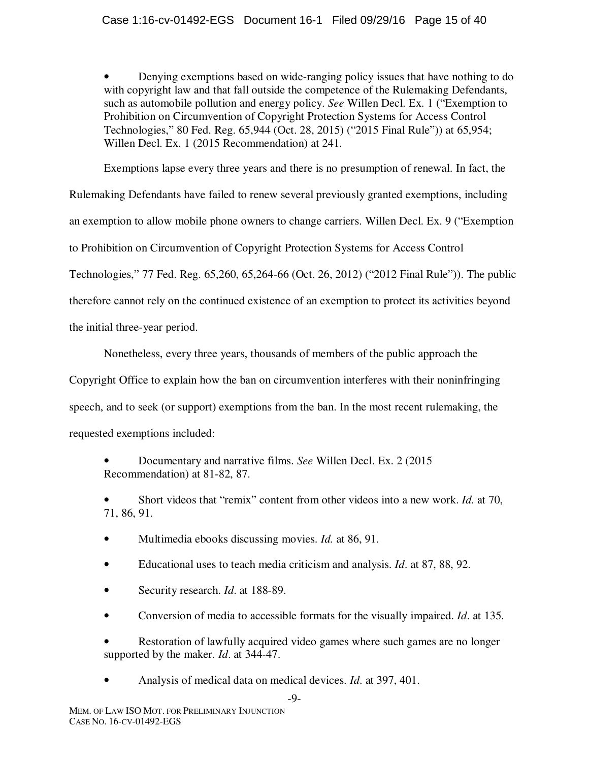• Denying exemptions based on wide-ranging policy issues that have nothing to do with copyright law and that fall outside the competence of the Rulemaking Defendants, such as automobile pollution and energy policy. *See* Willen Decl. Ex. 1 ("Exemption to Prohibition on Circumvention of Copyright Protection Systems for Access Control Technologies," 80 Fed. Reg. 65,944 (Oct. 28, 2015) ("2015 Final Rule")) at 65,954; Willen Decl. Ex. 1 (2015 Recommendation) at 241.

Exemptions lapse every three years and there is no presumption of renewal. In fact, the Rulemaking Defendants have failed to renew several previously granted exemptions, including an exemption to allow mobile phone owners to change carriers. Willen Decl. Ex. 9 ("Exemption to Prohibition on Circumvention of Copyright Protection Systems for Access Control Technologies," 77 Fed. Reg. 65,260, 65,264-66 (Oct. 26, 2012) ("2012 Final Rule")). The public therefore cannot rely on the continued existence of an exemption to protect its activities beyond the initial three-year period.

Nonetheless, every three years, thousands of members of the public approach the

Copyright Office to explain how the ban on circumvention interferes with their noninfringing speech, and to seek (or support) exemptions from the ban. In the most recent rulemaking, the requested exemptions included:

• Documentary and narrative films. *See* Willen Decl. Ex. 2 (2015 Recommendation) at 81-82, 87.

• Short videos that "remix" content from other videos into a new work. *Id.* at 70, 71, 86, 91.

- Multimedia ebooks discussing movies. *Id.* at 86, 91.
- Educational uses to teach media criticism and analysis. *Id*. at 87, 88, 92.
- Security research. *Id*. at 188-89.
- Conversion of media to accessible formats for the visually impaired. *Id*. at 135.

• Restoration of lawfully acquired video games where such games are no longer supported by the maker. *Id*. at 344-47.

• Analysis of medical data on medical devices. *Id*. at 397, 401.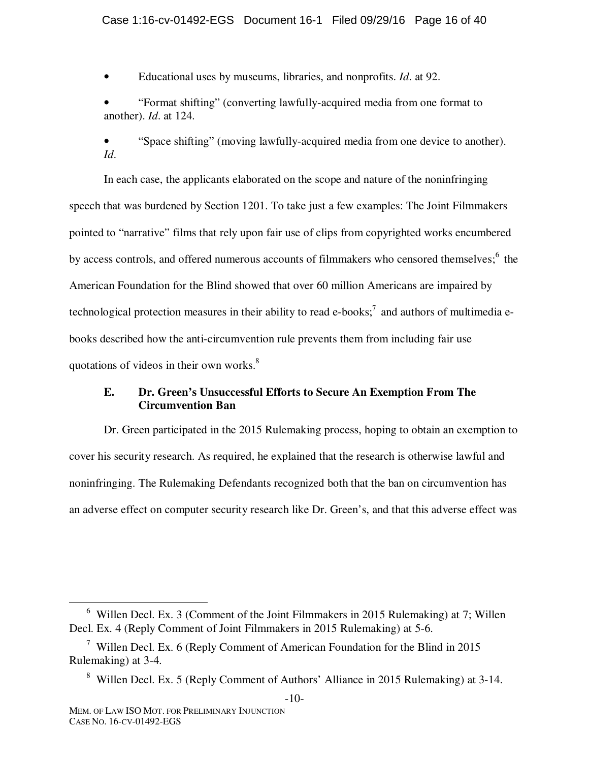### Case 1:16-cv-01492-EGS Document 16-1 Filed 09/29/16 Page 16 of 40

• Educational uses by museums, libraries, and nonprofits. *Id*. at 92.

• "Format shifting" (converting lawfully-acquired media from one format to another). *Id*. at 124.

• "Space shifting" (moving lawfully-acquired media from one device to another). *Id*.

In each case, the applicants elaborated on the scope and nature of the noninfringing speech that was burdened by Section 1201. To take just a few examples: The Joint Filmmakers pointed to "narrative" films that rely upon fair use of clips from copyrighted works encumbered by access controls, and offered numerous accounts of filmmakers who censored themselves;<sup>6</sup> the American Foundation for the Blind showed that over 60 million Americans are impaired by technological protection measures in their ability to read e-books;<sup>7</sup> and authors of multimedia ebooks described how the anti-circumvention rule prevents them from including fair use quotations of videos in their own works.<sup>8</sup>

# **E. Dr. Green's Unsuccessful Efforts to Secure An Exemption From The Circumvention Ban**

Dr. Green participated in the 2015 Rulemaking process, hoping to obtain an exemption to cover his security research. As required, he explained that the research is otherwise lawful and noninfringing. The Rulemaking Defendants recognized both that the ban on circumvention has an adverse effect on computer security research like Dr. Green's, and that this adverse effect was

 <sup>6</sup> Willen Decl. Ex. 3 (Comment of the Joint Filmmakers in 2015 Rulemaking) at 7; Willen Decl. Ex. 4 (Reply Comment of Joint Filmmakers in 2015 Rulemaking) at 5-6.

<sup>&</sup>lt;sup>7</sup> Willen Decl. Ex. 6 (Reply Comment of American Foundation for the Blind in 2015 Rulemaking) at 3-4.

<sup>-10-</sup>  <sup>8</sup> Willen Decl. Ex. 5 (Reply Comment of Authors' Alliance in 2015 Rulemaking) at 3-14.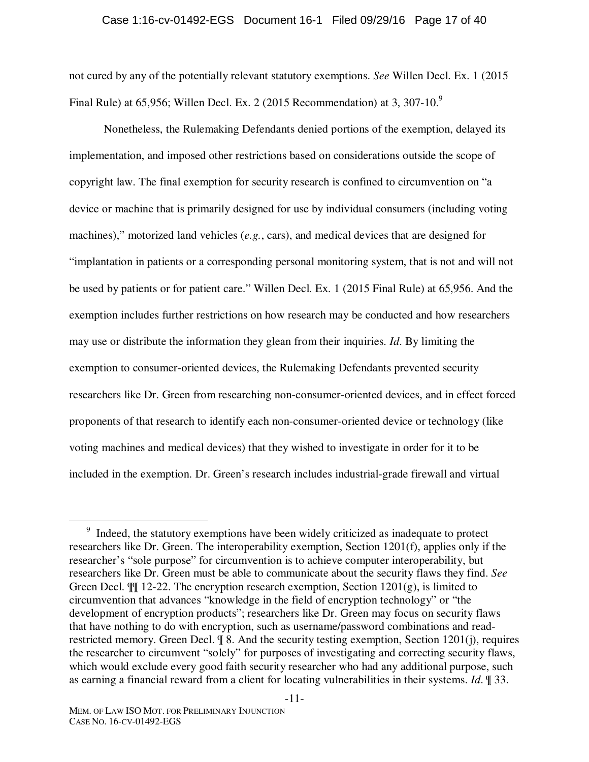#### Case 1:16-cv-01492-EGS Document 16-1 Filed 09/29/16 Page 17 of 40

not cured by any of the potentially relevant statutory exemptions. *See* Willen Decl. Ex. 1 (2015 Final Rule) at  $65,956$ ; Willen Decl. Ex. 2 (2015 Recommendation) at 3, 307-10.<sup>9</sup>

Nonetheless, the Rulemaking Defendants denied portions of the exemption, delayed its implementation, and imposed other restrictions based on considerations outside the scope of copyright law. The final exemption for security research is confined to circumvention on "a device or machine that is primarily designed for use by individual consumers (including voting machines)," motorized land vehicles (*e.g.*, cars), and medical devices that are designed for "implantation in patients or a corresponding personal monitoring system, that is not and will not be used by patients or for patient care." Willen Decl. Ex. 1 (2015 Final Rule) at 65,956. And the exemption includes further restrictions on how research may be conducted and how researchers may use or distribute the information they glean from their inquiries. *Id*. By limiting the exemption to consumer-oriented devices, the Rulemaking Defendants prevented security researchers like Dr. Green from researching non-consumer-oriented devices, and in effect forced proponents of that research to identify each non-consumer-oriented device or technology (like voting machines and medical devices) that they wished to investigate in order for it to be included in the exemption. Dr. Green's research includes industrial-grade firewall and virtual

-11-

 $\frac{1}{\sqrt{9}}$  Indeed, the statutory exemptions have been widely criticized as inadequate to protect researchers like Dr. Green. The interoperability exemption, Section 1201(f), applies only if the researcher's "sole purpose" for circumvention is to achieve computer interoperability, but researchers like Dr. Green must be able to communicate about the security flaws they find. *See* Green Decl.  $\mathbb{I}$  12-22. The encryption research exemption, Section 1201(g), is limited to circumvention that advances "knowledge in the field of encryption technology" or "the development of encryption products"; researchers like Dr. Green may focus on security flaws that have nothing to do with encryption, such as username/password combinations and readrestricted memory. Green Decl.  $\mathcal{F}$  8. And the security testing exemption, Section 1201(j), requires the researcher to circumvent "solely" for purposes of investigating and correcting security flaws, which would exclude every good faith security researcher who had any additional purpose, such as earning a financial reward from a client for locating vulnerabilities in their systems. *Id*. ¶ 33.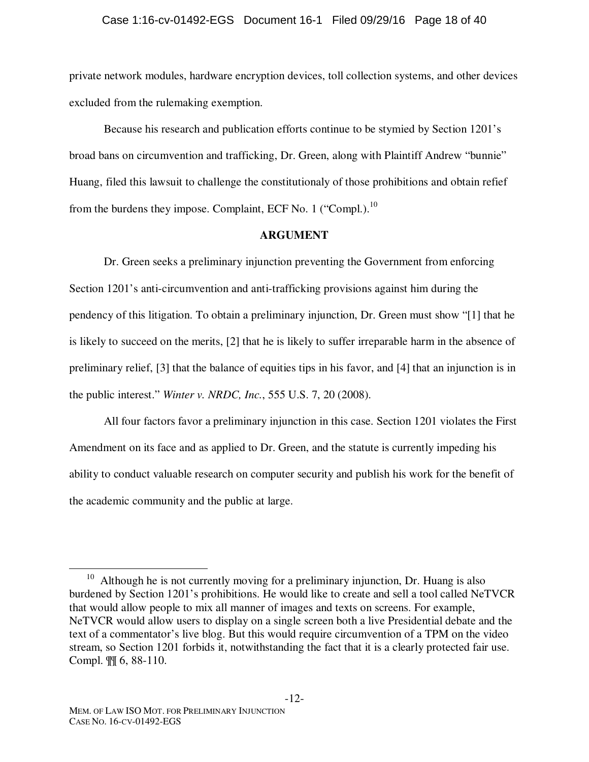#### Case 1:16-cv-01492-EGS Document 16-1 Filed 09/29/16 Page 18 of 40

private network modules, hardware encryption devices, toll collection systems, and other devices excluded from the rulemaking exemption.

Because his research and publication efforts continue to be stymied by Section 1201's broad bans on circumvention and trafficking, Dr. Green, along with Plaintiff Andrew "bunnie" Huang, filed this lawsuit to challenge the constitutionaly of those prohibitions and obtain refief from the burdens they impose. Complaint, ECF No. 1 ("Compl.). $^{10}$ 

#### **ARGUMENT**

Dr. Green seeks a preliminary injunction preventing the Government from enforcing Section 1201's anti-circumvention and anti-trafficking provisions against him during the pendency of this litigation. To obtain a preliminary injunction, Dr. Green must show "[1] that he is likely to succeed on the merits, [2] that he is likely to suffer irreparable harm in the absence of preliminary relief, [3] that the balance of equities tips in his favor, and [4] that an injunction is in the public interest." *Winter v. NRDC, Inc.*, 555 U.S. 7, 20 (2008).

All four factors favor a preliminary injunction in this case. Section 1201 violates the First Amendment on its face and as applied to Dr. Green, and the statute is currently impeding his ability to conduct valuable research on computer security and publish his work for the benefit of the academic community and the public at large.

 $10$  Although he is not currently moving for a preliminary injunction, Dr. Huang is also burdened by Section 1201's prohibitions. He would like to create and sell a tool called NeTVCR that would allow people to mix all manner of images and texts on screens. For example, NeTVCR would allow users to display on a single screen both a live Presidential debate and the text of a commentator's live blog. But this would require circumvention of a TPM on the video stream, so Section 1201 forbids it, notwithstanding the fact that it is a clearly protected fair use. Compl. ¶¶ 6, 88-110.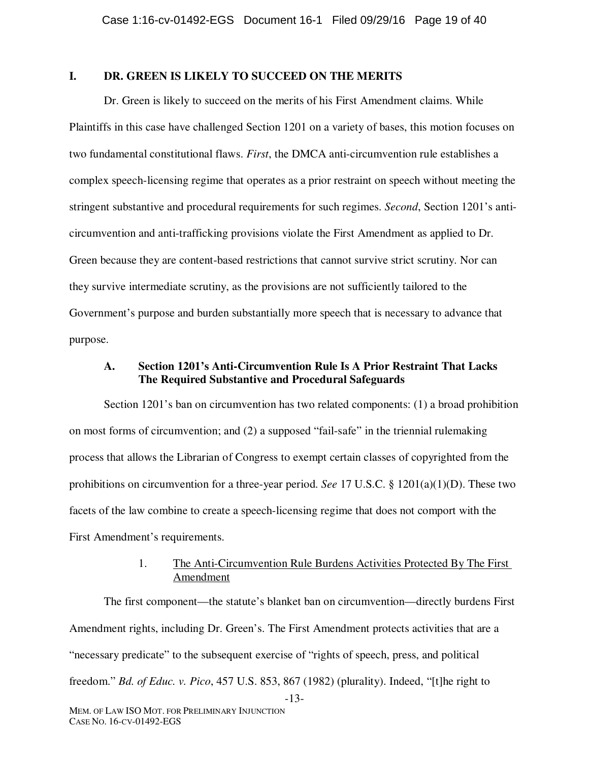## **I. DR. GREEN IS LIKELY TO SUCCEED ON THE MERITS**

Dr. Green is likely to succeed on the merits of his First Amendment claims. While Plaintiffs in this case have challenged Section 1201 on a variety of bases, this motion focuses on two fundamental constitutional flaws. *First*, the DMCA anti-circumvention rule establishes a complex speech-licensing regime that operates as a prior restraint on speech without meeting the stringent substantive and procedural requirements for such regimes. *Second*, Section 1201's anticircumvention and anti-trafficking provisions violate the First Amendment as applied to Dr. Green because they are content-based restrictions that cannot survive strict scrutiny. Nor can they survive intermediate scrutiny, as the provisions are not sufficiently tailored to the Government's purpose and burden substantially more speech that is necessary to advance that purpose.

## **A. Section 1201's Anti-Circumvention Rule Is A Prior Restraint That Lacks The Required Substantive and Procedural Safeguards**

Section 1201's ban on circumvention has two related components: (1) a broad prohibition on most forms of circumvention; and (2) a supposed "fail-safe" in the triennial rulemaking process that allows the Librarian of Congress to exempt certain classes of copyrighted from the prohibitions on circumvention for a three-year period. *See* 17 U.S.C. § 1201(a)(1)(D). These two facets of the law combine to create a speech-licensing regime that does not comport with the First Amendment's requirements.

## 1. The Anti-Circumvention Rule Burdens Activities Protected By The First Amendment

-13- The first component—the statute's blanket ban on circumvention—directly burdens First Amendment rights, including Dr. Green's. The First Amendment protects activities that are a "necessary predicate" to the subsequent exercise of "rights of speech, press, and political freedom." *Bd. of Educ. v. Pico*, 457 U.S. 853, 867 (1982) (plurality). Indeed, "[t]he right to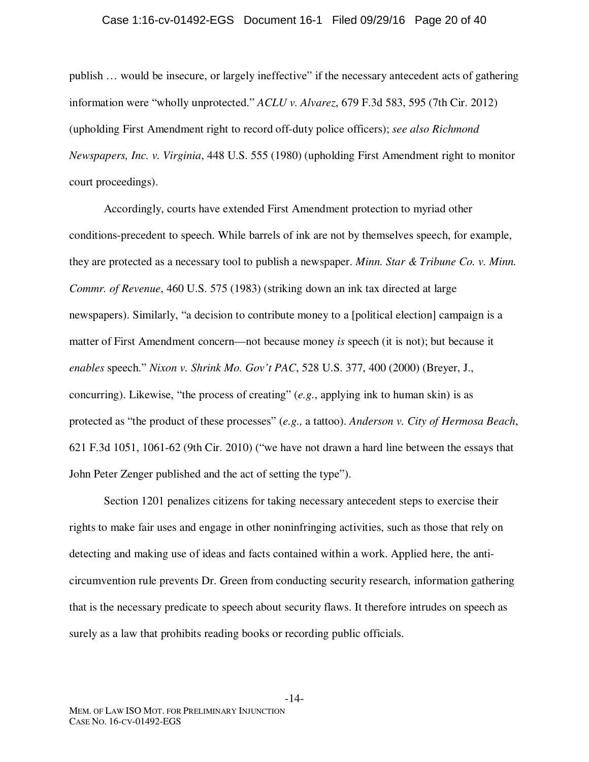#### Case 1:16-cv-01492-EGS Document 16-1 Filed 09/29/16 Page 20 of 40

publish … would be insecure, or largely ineffective" if the necessary antecedent acts of gathering information were "wholly unprotected." *ACLU v. Alvarez*, 679 F.3d 583, 595 (7th Cir. 2012) (upholding First Amendment right to record off-duty police officers); *see also Richmond Newspapers, Inc. v. Virginia*, 448 U.S. 555 (1980) (upholding First Amendment right to monitor court proceedings).

Accordingly, courts have extended First Amendment protection to myriad other conditions-precedent to speech. While barrels of ink are not by themselves speech, for example, they are protected as a necessary tool to publish a newspaper. *Minn. Star & Tribune Co. v. Minn. Commr. of Revenue*, 460 U.S. 575 (1983) (striking down an ink tax directed at large newspapers). Similarly, "a decision to contribute money to a [political election] campaign is a matter of First Amendment concern—not because money *is* speech (it is not); but because it *enables* speech." *Nixon v. Shrink Mo. Gov't PAC*, 528 U.S. 377, 400 (2000) (Breyer, J., concurring). Likewise, "the process of creating" (*e.g.*, applying ink to human skin) is as protected as "the product of these processes" (*e.g.,* a tattoo). *Anderson v. City of Hermosa Beach*, 621 F.3d 1051, 1061-62 (9th Cir. 2010) ("we have not drawn a hard line between the essays that John Peter Zenger published and the act of setting the type").

Section 1201 penalizes citizens for taking necessary antecedent steps to exercise their rights to make fair uses and engage in other noninfringing activities, such as those that rely on detecting and making use of ideas and facts contained within a work. Applied here, the anticircumvention rule prevents Dr. Green from conducting security research, information gathering that is the necessary predicate to speech about security flaws. It therefore intrudes on speech as surely as a law that prohibits reading books or recording public officials.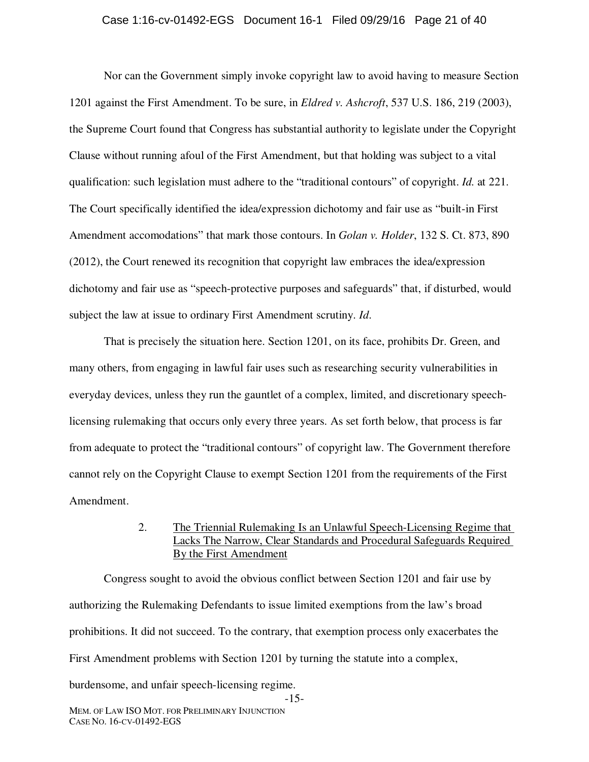#### Case 1:16-cv-01492-EGS Document 16-1 Filed 09/29/16 Page 21 of 40

Nor can the Government simply invoke copyright law to avoid having to measure Section 1201 against the First Amendment. To be sure, in *Eldred v. Ashcroft*, 537 U.S. 186, 219 (2003), the Supreme Court found that Congress has substantial authority to legislate under the Copyright Clause without running afoul of the First Amendment, but that holding was subject to a vital qualification: such legislation must adhere to the "traditional contours" of copyright. *Id.* at 221. The Court specifically identified the idea/expression dichotomy and fair use as "built-in First Amendment accomodations" that mark those contours. In *Golan v. Holder*, 132 S. Ct. 873, 890 (2012), the Court renewed its recognition that copyright law embraces the idea/expression dichotomy and fair use as "speech-protective purposes and safeguards" that, if disturbed, would subject the law at issue to ordinary First Amendment scrutiny. *Id*.

That is precisely the situation here. Section 1201, on its face, prohibits Dr. Green, and many others, from engaging in lawful fair uses such as researching security vulnerabilities in everyday devices, unless they run the gauntlet of a complex, limited, and discretionary speechlicensing rulemaking that occurs only every three years. As set forth below, that process is far from adequate to protect the "traditional contours" of copyright law. The Government therefore cannot rely on the Copyright Clause to exempt Section 1201 from the requirements of the First Amendment.

# 2. The Triennial Rulemaking Is an Unlawful Speech-Licensing Regime that Lacks The Narrow, Clear Standards and Procedural Safeguards Required By the First Amendment

Congress sought to avoid the obvious conflict between Section 1201 and fair use by authorizing the Rulemaking Defendants to issue limited exemptions from the law's broad prohibitions. It did not succeed. To the contrary, that exemption process only exacerbates the First Amendment problems with Section 1201 by turning the statute into a complex,

burdensome, and unfair speech-licensing regime.

-15-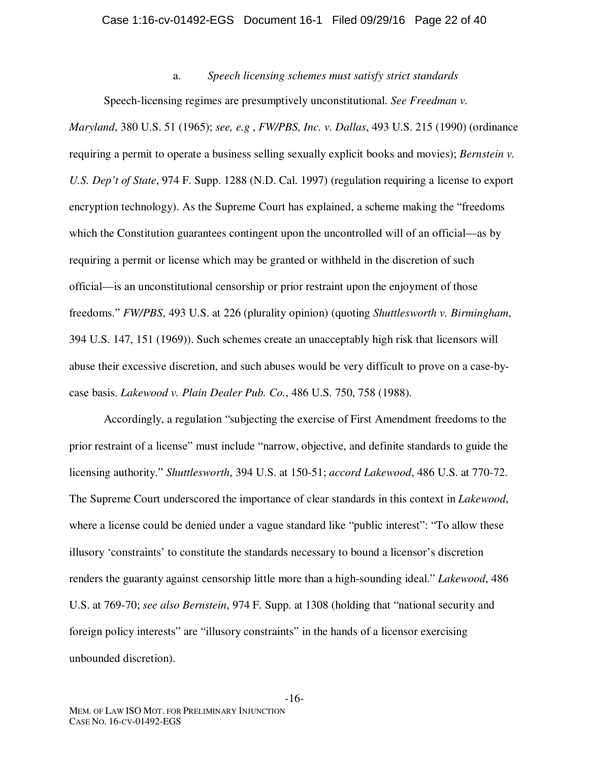#### Case 1:16-cv-01492-EGS Document 16-1 Filed 09/29/16 Page 22 of 40

a. *Speech licensing schemes must satisfy strict standards* 

Speech-licensing regimes are presumptively unconstitutional. *See Freedman v. Maryland*, 380 U.S. 51 (1965); *see, e.g* , *FW/PBS, Inc. v. Dallas*, 493 U.S. 215 (1990) (ordinance requiring a permit to operate a business selling sexually explicit books and movies); *Bernstein v. U.S. Dep't of State*, 974 F. Supp. 1288 (N.D. Cal. 1997) (regulation requiring a license to export encryption technology). As the Supreme Court has explained, a scheme making the "freedoms which the Constitution guarantees contingent upon the uncontrolled will of an official—as by requiring a permit or license which may be granted or withheld in the discretion of such official—is an unconstitutional censorship or prior restraint upon the enjoyment of those freedoms." *FW/PBS*, 493 U.S. at 226 (plurality opinion) (quoting *Shuttlesworth v. Birmingham*, 394 U.S. 147, 151 (1969)). Such schemes create an unacceptably high risk that licensors will abuse their excessive discretion, and such abuses would be very difficult to prove on a case-bycase basis. *Lakewood v. Plain Dealer Pub. Co.*, 486 U.S. 750, 758 (1988).

Accordingly, a regulation "subjecting the exercise of First Amendment freedoms to the prior restraint of a license" must include "narrow, objective, and definite standards to guide the licensing authority." *Shuttlesworth*, 394 U.S. at 150-51; *accord Lakewood*, 486 U.S. at 770-72. The Supreme Court underscored the importance of clear standards in this context in *Lakewood*, where a license could be denied under a vague standard like "public interest": "To allow these illusory 'constraints' to constitute the standards necessary to bound a licensor's discretion renders the guaranty against censorship little more than a high-sounding ideal." *Lakewood*, 486 U.S. at 769-70; *see also Bernstein*, 974 F. Supp. at 1308 (holding that "national security and foreign policy interests" are "illusory constraints" in the hands of a licensor exercising unbounded discretion).

-16-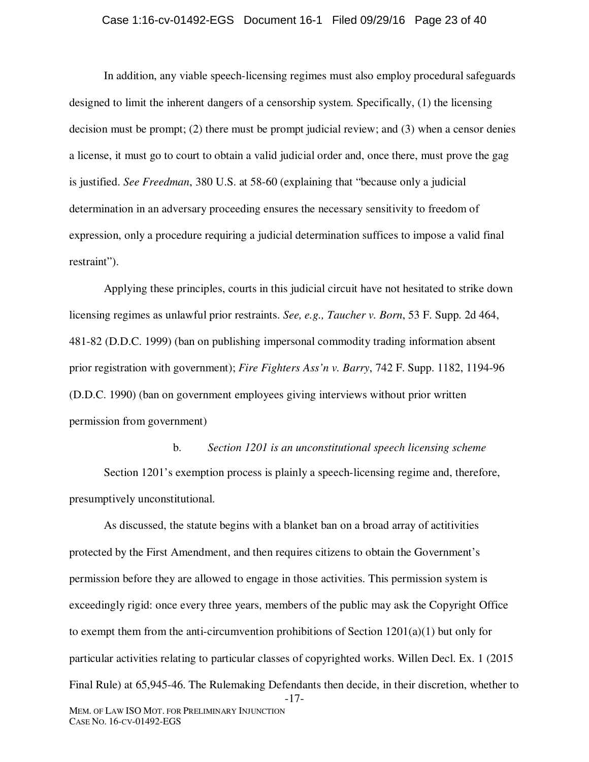#### Case 1:16-cv-01492-EGS Document 16-1 Filed 09/29/16 Page 23 of 40

In addition, any viable speech-licensing regimes must also employ procedural safeguards designed to limit the inherent dangers of a censorship system. Specifically, (1) the licensing decision must be prompt; (2) there must be prompt judicial review; and (3) when a censor denies a license, it must go to court to obtain a valid judicial order and, once there, must prove the gag is justified. *See Freedman*, 380 U.S. at 58-60 (explaining that "because only a judicial determination in an adversary proceeding ensures the necessary sensitivity to freedom of expression, only a procedure requiring a judicial determination suffices to impose a valid final restraint").

Applying these principles, courts in this judicial circuit have not hesitated to strike down licensing regimes as unlawful prior restraints. *See, e.g., Taucher v. Born*, 53 F. Supp. 2d 464, 481-82 (D.D.C. 1999) (ban on publishing impersonal commodity trading information absent prior registration with government); *Fire Fighters Ass'n v. Barry*, 742 F. Supp. 1182, 1194-96 (D.D.C. 1990) (ban on government employees giving interviews without prior written permission from government)

b. *Section 1201 is an unconstitutional speech licensing scheme*  Section 1201's exemption process is plainly a speech-licensing regime and, therefore, presumptively unconstitutional.

-17- MEM. OF LAW ISO MOT. FOR PRELIMINARY INJUNCTION As discussed, the statute begins with a blanket ban on a broad array of actitivities protected by the First Amendment, and then requires citizens to obtain the Government's permission before they are allowed to engage in those activities. This permission system is exceedingly rigid: once every three years, members of the public may ask the Copyright Office to exempt them from the anti-circumvention prohibitions of Section 1201(a)(1) but only for particular activities relating to particular classes of copyrighted works. Willen Decl. Ex. 1 (2015 Final Rule) at 65,945-46. The Rulemaking Defendants then decide, in their discretion, whether to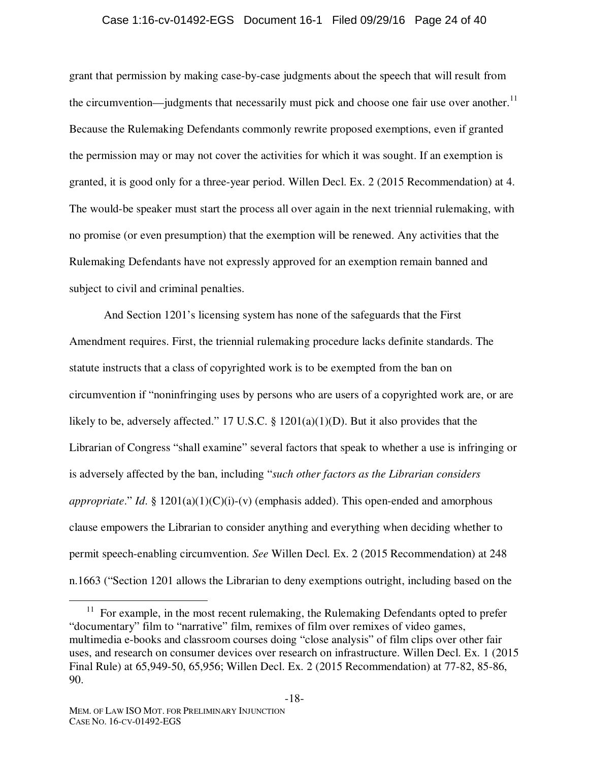#### Case 1:16-cv-01492-EGS Document 16-1 Filed 09/29/16 Page 24 of 40

grant that permission by making case-by-case judgments about the speech that will result from the circumvention—judgments that necessarily must pick and choose one fair use over another.<sup>11</sup> Because the Rulemaking Defendants commonly rewrite proposed exemptions, even if granted the permission may or may not cover the activities for which it was sought. If an exemption is granted, it is good only for a three-year period. Willen Decl. Ex. 2 (2015 Recommendation) at 4. The would-be speaker must start the process all over again in the next triennial rulemaking, with no promise (or even presumption) that the exemption will be renewed. Any activities that the Rulemaking Defendants have not expressly approved for an exemption remain banned and subject to civil and criminal penalties.

And Section 1201's licensing system has none of the safeguards that the First Amendment requires. First, the triennial rulemaking procedure lacks definite standards. The statute instructs that a class of copyrighted work is to be exempted from the ban on circumvention if "noninfringing uses by persons who are users of a copyrighted work are, or are likely to be, adversely affected." 17 U.S.C. § 1201(a)(1)(D). But it also provides that the Librarian of Congress "shall examine" several factors that speak to whether a use is infringing or is adversely affected by the ban, including "*such other factors as the Librarian considers appropriate.*" *Id.* §  $1201(a)(1)(C)(i)-(v)$  (emphasis added). This open-ended and amorphous clause empowers the Librarian to consider anything and everything when deciding whether to permit speech-enabling circumvention. *See* Willen Decl. Ex. 2 (2015 Recommendation) at 248 n.1663 ("Section 1201 allows the Librarian to deny exemptions outright, including based on the

-18-

 $11$  For example, in the most recent rulemaking, the Rulemaking Defendants opted to prefer "documentary" film to "narrative" film, remixes of film over remixes of video games, multimedia e-books and classroom courses doing "close analysis" of film clips over other fair uses, and research on consumer devices over research on infrastructure. Willen Decl. Ex. 1 (2015 Final Rule) at 65,949-50, 65,956; Willen Decl. Ex. 2 (2015 Recommendation) at 77-82, 85-86, 90.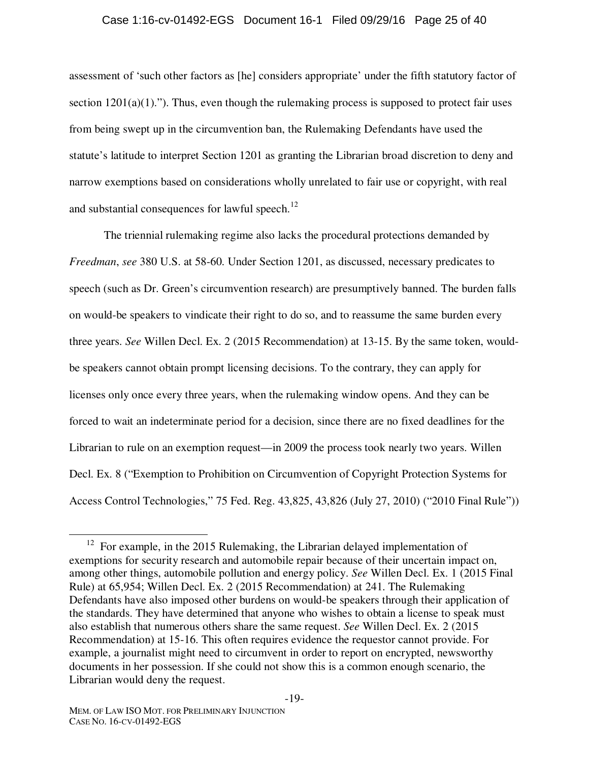#### Case 1:16-cv-01492-EGS Document 16-1 Filed 09/29/16 Page 25 of 40

assessment of 'such other factors as [he] considers appropriate' under the fifth statutory factor of section  $1201(a)(1)$ ."). Thus, even though the rulemaking process is supposed to protect fair uses from being swept up in the circumvention ban, the Rulemaking Defendants have used the statute's latitude to interpret Section 1201 as granting the Librarian broad discretion to deny and narrow exemptions based on considerations wholly unrelated to fair use or copyright, with real and substantial consequences for lawful speech.<sup>12</sup>

The triennial rulemaking regime also lacks the procedural protections demanded by *Freedman*, *see* 380 U.S. at 58-60. Under Section 1201, as discussed, necessary predicates to speech (such as Dr. Green's circumvention research) are presumptively banned. The burden falls on would-be speakers to vindicate their right to do so, and to reassume the same burden every three years. *See* Willen Decl. Ex. 2 (2015 Recommendation) at 13-15. By the same token, wouldbe speakers cannot obtain prompt licensing decisions. To the contrary, they can apply for licenses only once every three years, when the rulemaking window opens. And they can be forced to wait an indeterminate period for a decision, since there are no fixed deadlines for the Librarian to rule on an exemption request—in 2009 the process took nearly two years. Willen Decl. Ex. 8 ("Exemption to Prohibition on Circumvention of Copyright Protection Systems for Access Control Technologies," 75 Fed. Reg. 43,825, 43,826 (July 27, 2010) ("2010 Final Rule"))

 $12$  For example, in the 2015 Rulemaking, the Librarian delayed implementation of exemptions for security research and automobile repair because of their uncertain impact on, among other things, automobile pollution and energy policy. *See* Willen Decl. Ex. 1 (2015 Final Rule) at 65,954; Willen Decl. Ex. 2 (2015 Recommendation) at 241. The Rulemaking Defendants have also imposed other burdens on would-be speakers through their application of the standards. They have determined that anyone who wishes to obtain a license to speak must also establish that numerous others share the same request. *See* Willen Decl. Ex. 2 (2015 Recommendation) at 15-16. This often requires evidence the requestor cannot provide. For example, a journalist might need to circumvent in order to report on encrypted, newsworthy documents in her possession. If she could not show this is a common enough scenario, the Librarian would deny the request.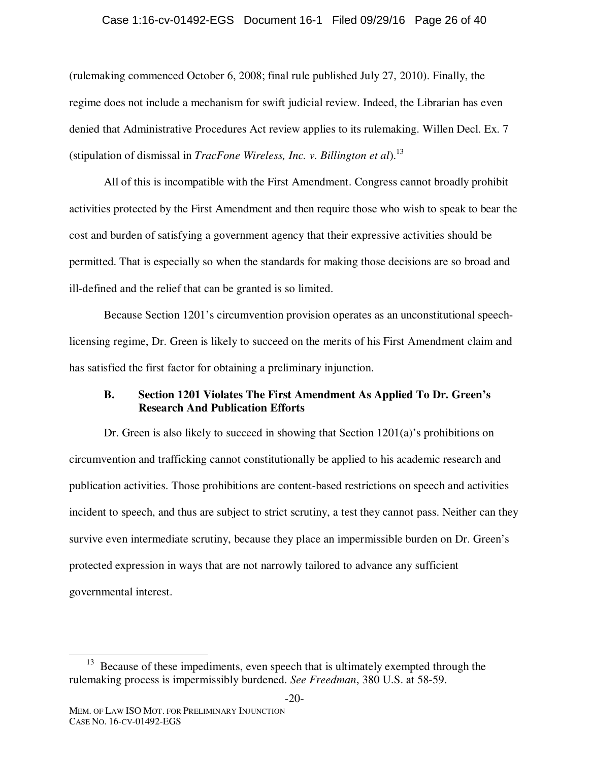#### Case 1:16-cv-01492-EGS Document 16-1 Filed 09/29/16 Page 26 of 40

(rulemaking commenced October 6, 2008; final rule published July 27, 2010). Finally, the regime does not include a mechanism for swift judicial review. Indeed, the Librarian has even denied that Administrative Procedures Act review applies to its rulemaking. Willen Decl. Ex. 7 (stipulation of dismissal in *TracFone Wireless, Inc. v. Billington et al*).13

All of this is incompatible with the First Amendment. Congress cannot broadly prohibit activities protected by the First Amendment and then require those who wish to speak to bear the cost and burden of satisfying a government agency that their expressive activities should be permitted. That is especially so when the standards for making those decisions are so broad and ill-defined and the relief that can be granted is so limited.

Because Section 1201's circumvention provision operates as an unconstitutional speechlicensing regime, Dr. Green is likely to succeed on the merits of his First Amendment claim and has satisfied the first factor for obtaining a preliminary injunction.

## **B. Section 1201 Violates The First Amendment As Applied To Dr. Green's Research And Publication Efforts**

Dr. Green is also likely to succeed in showing that Section 1201(a)'s prohibitions on circumvention and trafficking cannot constitutionally be applied to his academic research and publication activities. Those prohibitions are content-based restrictions on speech and activities incident to speech, and thus are subject to strict scrutiny, a test they cannot pass. Neither can they survive even intermediate scrutiny, because they place an impermissible burden on Dr. Green's protected expression in ways that are not narrowly tailored to advance any sufficient governmental interest.

<sup>&</sup>lt;sup>13</sup> Because of these impediments, even speech that is ultimately exempted through the rulemaking process is impermissibly burdened. *See Freedman*, 380 U.S. at 58-59.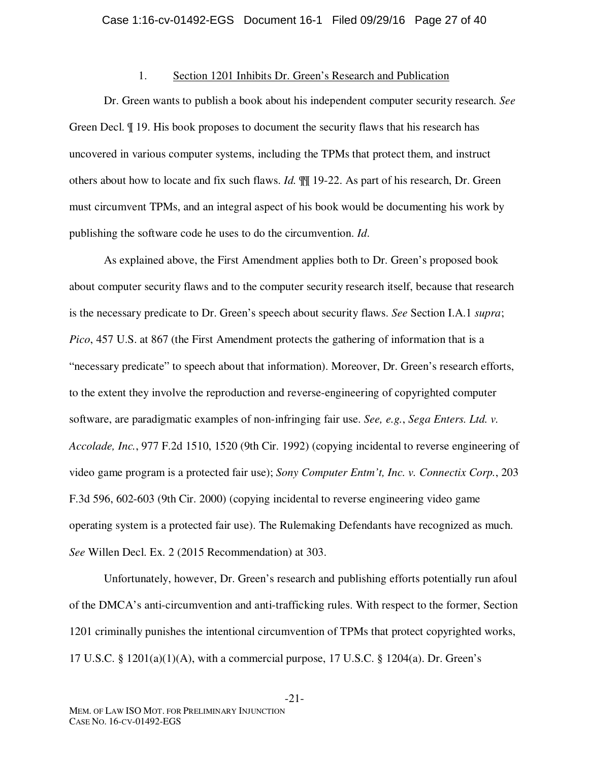### 1. Section 1201 Inhibits Dr. Green's Research and Publication

Dr. Green wants to publish a book about his independent computer security research. *See* Green Decl. ¶ 19. His book proposes to document the security flaws that his research has uncovered in various computer systems, including the TPMs that protect them, and instruct others about how to locate and fix such flaws. *Id.* ¶¶ 19-22. As part of his research, Dr. Green must circumvent TPMs, and an integral aspect of his book would be documenting his work by publishing the software code he uses to do the circumvention. *Id*.

As explained above, the First Amendment applies both to Dr. Green's proposed book about computer security flaws and to the computer security research itself, because that research is the necessary predicate to Dr. Green's speech about security flaws. *See* Section I.A.1 *supra*; *Pico*, 457 U.S. at 867 (the First Amendment protects the gathering of information that is a "necessary predicate" to speech about that information). Moreover, Dr. Green's research efforts, to the extent they involve the reproduction and reverse-engineering of copyrighted computer software, are paradigmatic examples of non-infringing fair use. *See, e.g.*, *Sega Enters. Ltd. v. Accolade, Inc.*, 977 F.2d 1510, 1520 (9th Cir. 1992) (copying incidental to reverse engineering of video game program is a protected fair use); *Sony Computer Entm't, Inc. v. Connectix Corp.*, 203 F.3d 596, 602-603 (9th Cir. 2000) (copying incidental to reverse engineering video game operating system is a protected fair use). The Rulemaking Defendants have recognized as much. *See* Willen Decl. Ex. 2 (2015 Recommendation) at 303.

Unfortunately, however, Dr. Green's research and publishing efforts potentially run afoul of the DMCA's anti-circumvention and anti-trafficking rules. With respect to the former, Section 1201 criminally punishes the intentional circumvention of TPMs that protect copyrighted works, 17 U.S.C. § 1201(a)(1)(A), with a commercial purpose, 17 U.S.C. § 1204(a). Dr. Green's

-21-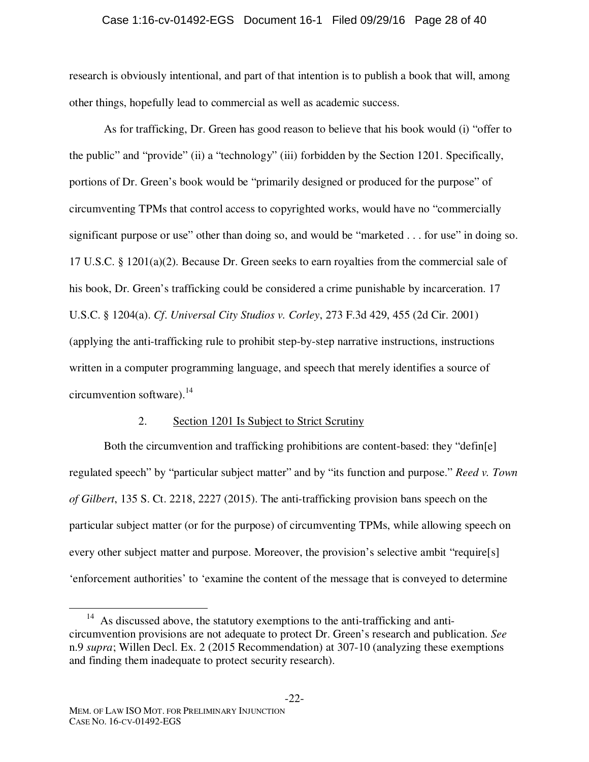## Case 1:16-cv-01492-EGS Document 16-1 Filed 09/29/16 Page 28 of 40

research is obviously intentional, and part of that intention is to publish a book that will, among other things, hopefully lead to commercial as well as academic success.

As for trafficking, Dr. Green has good reason to believe that his book would (i) "offer to the public" and "provide" (ii) a "technology" (iii) forbidden by the Section 1201. Specifically, portions of Dr. Green's book would be "primarily designed or produced for the purpose" of circumventing TPMs that control access to copyrighted works, would have no "commercially significant purpose or use" other than doing so, and would be "marketed . . . for use" in doing so. 17 U.S.C. § 1201(a)(2). Because Dr. Green seeks to earn royalties from the commercial sale of his book, Dr. Green's trafficking could be considered a crime punishable by incarceration. 17 U.S.C. § 1204(a). *Cf*. *Universal City Studios v. Corley*, 273 F.3d 429, 455 (2d Cir. 2001) (applying the anti-trafficking rule to prohibit step-by-step narrative instructions, instructions written in a computer programming language, and speech that merely identifies a source of circumvention software). $^{14}$ 

### 2. Section 1201 Is Subject to Strict Scrutiny

Both the circumvention and trafficking prohibitions are content-based: they "defin[e] regulated speech" by "particular subject matter" and by "its function and purpose." *Reed v. Town of Gilbert*, 135 S. Ct. 2218, 2227 (2015). The anti-trafficking provision bans speech on the particular subject matter (or for the purpose) of circumventing TPMs, while allowing speech on every other subject matter and purpose. Moreover, the provision's selective ambit "require[s] 'enforcement authorities' to 'examine the content of the message that is conveyed to determine

<sup>&</sup>lt;sup>14</sup> As discussed above, the statutory exemptions to the anti-trafficking and anticircumvention provisions are not adequate to protect Dr. Green's research and publication. *See* n.9 *supra*; Willen Decl. Ex. 2 (2015 Recommendation) at 307-10 (analyzing these exemptions and finding them inadequate to protect security research).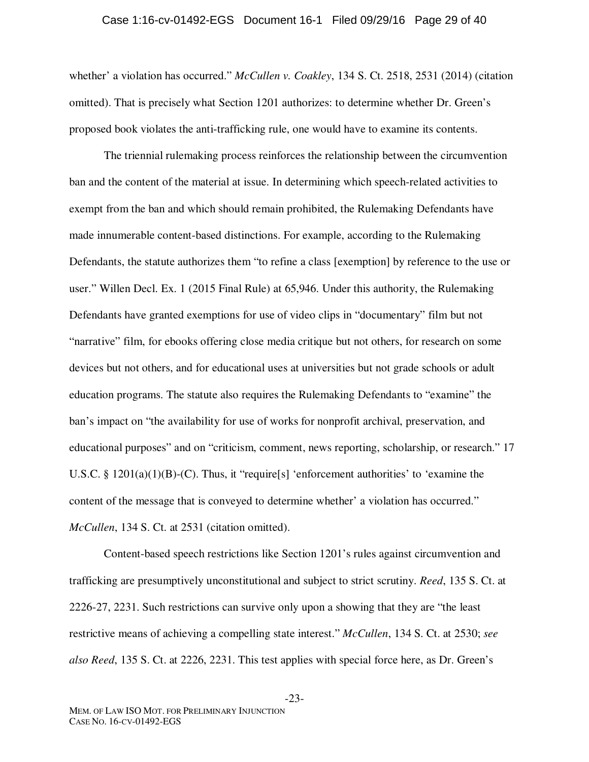#### Case 1:16-cv-01492-EGS Document 16-1 Filed 09/29/16 Page 29 of 40

whether' a violation has occurred." *McCullen v. Coakley*, 134 S. Ct. 2518, 2531 (2014) (citation omitted). That is precisely what Section 1201 authorizes: to determine whether Dr. Green's proposed book violates the anti-trafficking rule, one would have to examine its contents.

The triennial rulemaking process reinforces the relationship between the circumvention ban and the content of the material at issue. In determining which speech-related activities to exempt from the ban and which should remain prohibited, the Rulemaking Defendants have made innumerable content-based distinctions. For example, according to the Rulemaking Defendants, the statute authorizes them "to refine a class [exemption] by reference to the use or user." Willen Decl. Ex. 1 (2015 Final Rule) at 65,946. Under this authority, the Rulemaking Defendants have granted exemptions for use of video clips in "documentary" film but not "narrative" film, for ebooks offering close media critique but not others, for research on some devices but not others, and for educational uses at universities but not grade schools or adult education programs. The statute also requires the Rulemaking Defendants to "examine" the ban's impact on "the availability for use of works for nonprofit archival, preservation, and educational purposes" and on "criticism, comment, news reporting, scholarship, or research." 17 U.S.C. § 1201(a)(1)(B)-(C). Thus, it "require[s] 'enforcement authorities' to 'examine the content of the message that is conveyed to determine whether' a violation has occurred." *McCullen*, 134 S. Ct. at 2531 (citation omitted).

Content-based speech restrictions like Section 1201's rules against circumvention and trafficking are presumptively unconstitutional and subject to strict scrutiny. *Reed*, 135 S. Ct. at 2226-27, 2231. Such restrictions can survive only upon a showing that they are "the least restrictive means of achieving a compelling state interest." *McCullen*, 134 S. Ct. at 2530; *see also Reed*, 135 S. Ct. at 2226, 2231. This test applies with special force here, as Dr. Green's

-23-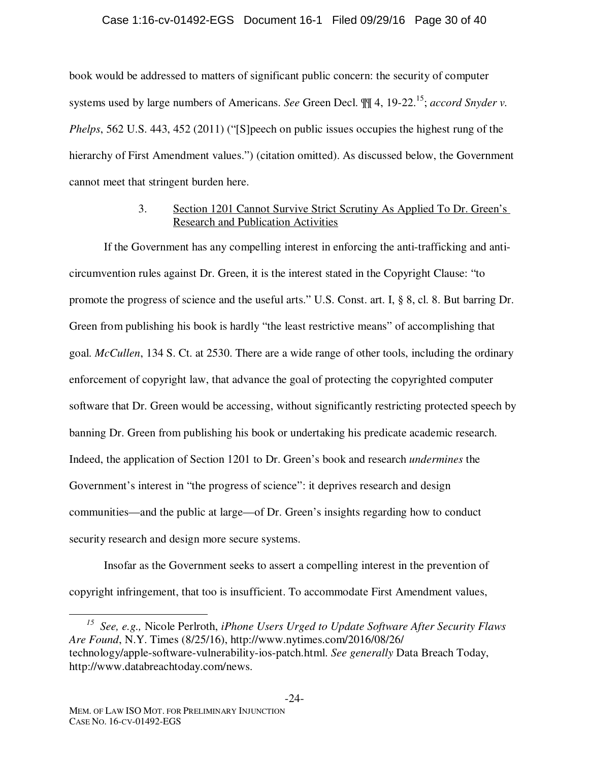### Case 1:16-cv-01492-EGS Document 16-1 Filed 09/29/16 Page 30 of 40

book would be addressed to matters of significant public concern: the security of computer systems used by large numbers of Americans. *See* Green Decl.  $\P\P$  4, 19-22.<sup>15</sup>; *accord Snyder v. Phelps*, 562 U.S. 443, 452 (2011) ("[S]peech on public issues occupies the highest rung of the hierarchy of First Amendment values.") (citation omitted). As discussed below, the Government cannot meet that stringent burden here.

# 3. Section 1201 Cannot Survive Strict Scrutiny As Applied To Dr. Green's Research and Publication Activities

If the Government has any compelling interest in enforcing the anti-trafficking and anticircumvention rules against Dr. Green, it is the interest stated in the Copyright Clause: "to promote the progress of science and the useful arts." U.S. Const. art. I, § 8, cl. 8. But barring Dr. Green from publishing his book is hardly "the least restrictive means" of accomplishing that goal. *McCullen*, 134 S. Ct. at 2530. There are a wide range of other tools, including the ordinary enforcement of copyright law, that advance the goal of protecting the copyrighted computer software that Dr. Green would be accessing, without significantly restricting protected speech by banning Dr. Green from publishing his book or undertaking his predicate academic research. Indeed, the application of Section 1201 to Dr. Green's book and research *undermines* the Government's interest in "the progress of science": it deprives research and design communities—and the public at large—of Dr. Green's insights regarding how to conduct security research and design more secure systems.

Insofar as the Government seeks to assert a compelling interest in the prevention of copyright infringement, that too is insufficient. To accommodate First Amendment values,

*15 See, e.g.,* Nicole Perlroth, *iPhone Users Urged to Update Software After Security Flaws Are Found*, N.Y. Times (8/25/16), http://www.nytimes.com/2016/08/26/ technology/apple-software-vulnerability-ios-patch.html. *See generally* Data Breach Today, http://www.databreachtoday.com/news.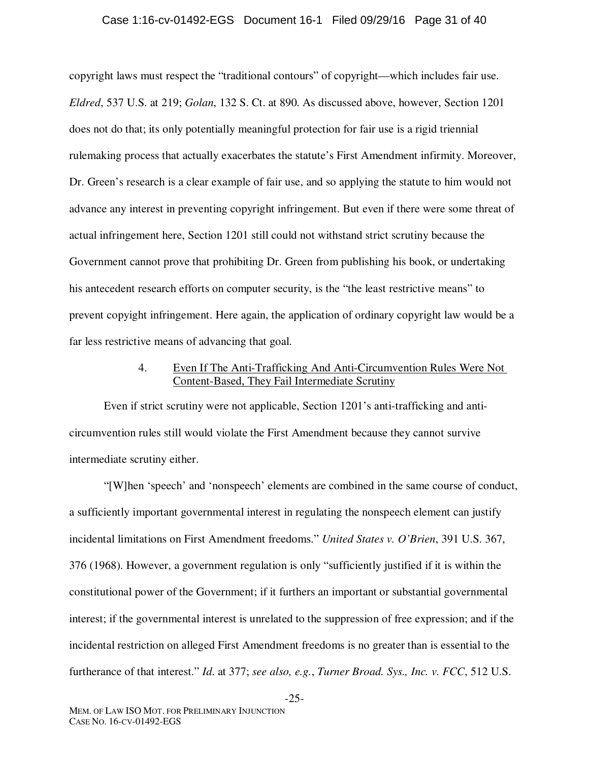#### Case 1:16-cv-01492-EGS Document 16-1 Filed 09/29/16 Page 31 of 40

copyright laws must respect the "traditional contours" of copyright—which includes fair use. *Eldred*, 537 U.S. at 219; *Golan*, 132 S. Ct. at 890. As discussed above, however, Section 1201 does not do that; its only potentially meaningful protection for fair use is a rigid triennial rulemaking process that actually exacerbates the statute's First Amendment infirmity. Moreover, Dr. Green's research is a clear example of fair use, and so applying the statute to him would not advance any interest in preventing copyright infringement. But even if there were some threat of actual infringement here, Section 1201 still could not withstand strict scrutiny because the Government cannot prove that prohibiting Dr. Green from publishing his book, or undertaking his antecedent research efforts on computer security, is the "the least restrictive means" to prevent copyight infringement. Here again, the application of ordinary copyright law would be a far less restrictive means of advancing that goal.

# 4. Even If The Anti-Trafficking And Anti-Circumvention Rules Were Not Content-Based, They Fail Intermediate Scrutiny

Even if strict scrutiny were not applicable, Section 1201's anti-trafficking and anticircumvention rules still would violate the First Amendment because they cannot survive intermediate scrutiny either.

"[W]hen 'speech' and 'nonspeech' elements are combined in the same course of conduct, a sufficiently important governmental interest in regulating the nonspeech element can justify incidental limitations on First Amendment freedoms." *United States v. O'Brien*, 391 U.S. 367, 376 (1968). However, a government regulation is only "sufficiently justified if it is within the constitutional power of the Government; if it furthers an important or substantial governmental interest; if the governmental interest is unrelated to the suppression of free expression; and if the incidental restriction on alleged First Amendment freedoms is no greater than is essential to the furtherance of that interest." *Id*. at 377; *see also, e.g.*, *Turner Broad. Sys., Inc. v. FCC*, 512 U.S.

-25-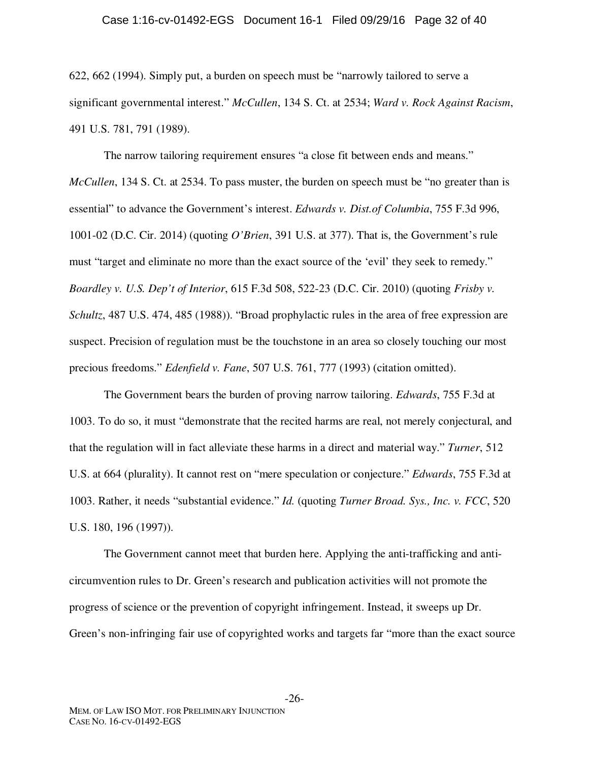#### Case 1:16-cv-01492-EGS Document 16-1 Filed 09/29/16 Page 32 of 40

622, 662 (1994). Simply put, a burden on speech must be "narrowly tailored to serve a significant governmental interest." *McCullen*, 134 S. Ct. at 2534; *Ward v. Rock Against Racism*, 491 U.S. 781, 791 (1989).

The narrow tailoring requirement ensures "a close fit between ends and means." *McCullen*, 134 S. Ct. at 2534. To pass muster, the burden on speech must be "no greater than is essential" to advance the Government's interest. *Edwards v. Dist.of Columbia*, 755 F.3d 996, 1001-02 (D.C. Cir. 2014) (quoting *O'Brien*, 391 U.S. at 377). That is, the Government's rule must "target and eliminate no more than the exact source of the 'evil' they seek to remedy." *Boardley v. U.S. Dep't of Interior*, 615 F.3d 508, 522-23 (D.C. Cir. 2010) (quoting *Frisby v. Schultz*, 487 U.S. 474, 485 (1988)). "Broad prophylactic rules in the area of free expression are suspect. Precision of regulation must be the touchstone in an area so closely touching our most precious freedoms." *Edenfield v. Fane*, 507 U.S. 761, 777 (1993) (citation omitted).

The Government bears the burden of proving narrow tailoring. *Edwards*, 755 F.3d at 1003. To do so, it must "demonstrate that the recited harms are real, not merely conjectural, and that the regulation will in fact alleviate these harms in a direct and material way." *Turner*, 512 U.S. at 664 (plurality). It cannot rest on "mere speculation or conjecture." *Edwards*, 755 F.3d at 1003. Rather, it needs "substantial evidence." *Id.* (quoting *Turner Broad. Sys., Inc. v. FCC*, 520 U.S. 180, 196 (1997)).

The Government cannot meet that burden here. Applying the anti-trafficking and anticircumvention rules to Dr. Green's research and publication activities will not promote the progress of science or the prevention of copyright infringement. Instead, it sweeps up Dr. Green's non-infringing fair use of copyrighted works and targets far "more than the exact source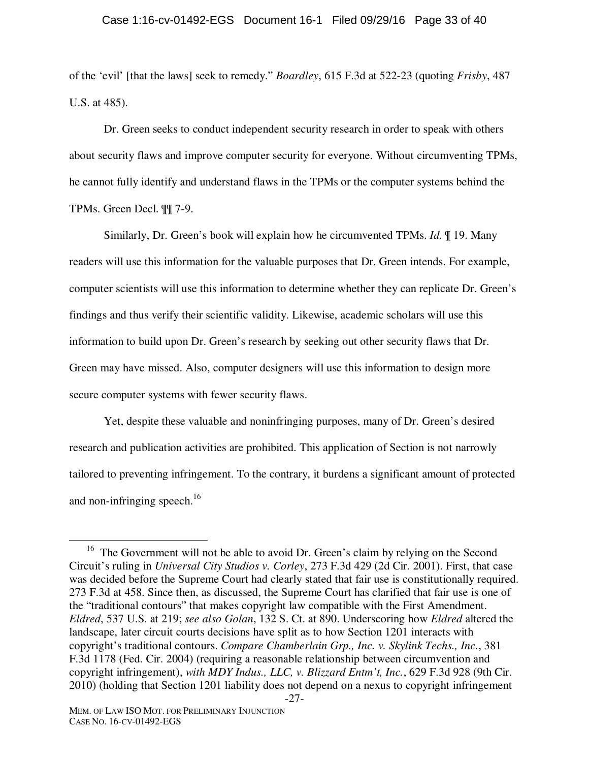#### Case 1:16-cv-01492-EGS Document 16-1 Filed 09/29/16 Page 33 of 40

of the 'evil' [that the laws] seek to remedy." *Boardley*, 615 F.3d at 522-23 (quoting *Frisby*, 487 U.S. at 485).

Dr. Green seeks to conduct independent security research in order to speak with others about security flaws and improve computer security for everyone. Without circumventing TPMs, he cannot fully identify and understand flaws in the TPMs or the computer systems behind the TPMs. Green Decl. ¶¶ 7-9.

Similarly, Dr. Green's book will explain how he circumvented TPMs. *Id.* ¶ 19. Many readers will use this information for the valuable purposes that Dr. Green intends. For example, computer scientists will use this information to determine whether they can replicate Dr. Green's findings and thus verify their scientific validity. Likewise, academic scholars will use this information to build upon Dr. Green's research by seeking out other security flaws that Dr. Green may have missed. Also, computer designers will use this information to design more secure computer systems with fewer security flaws.

Yet, despite these valuable and noninfringing purposes, many of Dr. Green's desired research and publication activities are prohibited. This application of Section is not narrowly tailored to preventing infringement. To the contrary, it burdens a significant amount of protected and non-infringing speech.<sup>16</sup>

<sup>-27-</sup>  <sup>16</sup> The Government will not be able to avoid Dr. Green's claim by relying on the Second Circuit's ruling in *Universal City Studios v. Corley*, 273 F.3d 429 (2d Cir. 2001). First, that case was decided before the Supreme Court had clearly stated that fair use is constitutionally required. 273 F.3d at 458. Since then, as discussed, the Supreme Court has clarified that fair use is one of the "traditional contours" that makes copyright law compatible with the First Amendment. *Eldred*, 537 U.S. at 219; *see also Golan*, 132 S. Ct. at 890. Underscoring how *Eldred* altered the landscape, later circuit courts decisions have split as to how Section 1201 interacts with copyright's traditional contours. *Compare Chamberlain Grp., Inc. v. Skylink Techs., Inc.*, 381 F.3d 1178 (Fed. Cir. 2004) (requiring a reasonable relationship between circumvention and copyright infringement), *with MDY Indus., LLC, v. Blizzard Entm't, Inc.*, 629 F.3d 928 (9th Cir. 2010) (holding that Section 1201 liability does not depend on a nexus to copyright infringement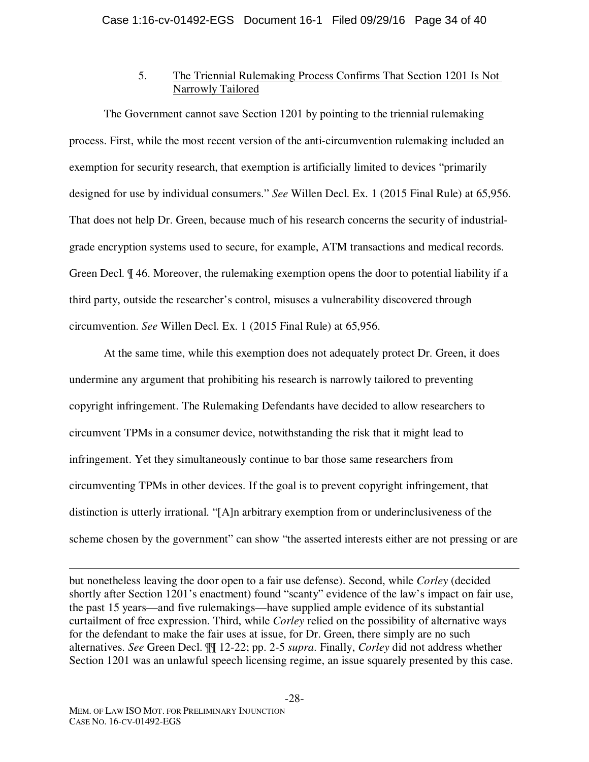# 5. The Triennial Rulemaking Process Confirms That Section 1201 Is Not Narrowly Tailored

The Government cannot save Section 1201 by pointing to the triennial rulemaking process. First, while the most recent version of the anti-circumvention rulemaking included an exemption for security research, that exemption is artificially limited to devices "primarily designed for use by individual consumers." *See* Willen Decl. Ex. 1 (2015 Final Rule) at 65,956. That does not help Dr. Green, because much of his research concerns the security of industrialgrade encryption systems used to secure, for example, ATM transactions and medical records. Green Decl. ¶ 46. Moreover, the rulemaking exemption opens the door to potential liability if a third party, outside the researcher's control, misuses a vulnerability discovered through circumvention. *See* Willen Decl. Ex. 1 (2015 Final Rule) at 65,956.

At the same time, while this exemption does not adequately protect Dr. Green, it does undermine any argument that prohibiting his research is narrowly tailored to preventing copyright infringement. The Rulemaking Defendants have decided to allow researchers to circumvent TPMs in a consumer device, notwithstanding the risk that it might lead to infringement. Yet they simultaneously continue to bar those same researchers from circumventing TPMs in other devices. If the goal is to prevent copyright infringement, that distinction is utterly irrational. "[A]n arbitrary exemption from or underinclusiveness of the scheme chosen by the government" can show "the asserted interests either are not pressing or are

<u>.</u> but nonetheless leaving the door open to a fair use defense). Second, while *Corley* (decided shortly after Section 1201's enactment) found "scanty" evidence of the law's impact on fair use, the past 15 years—and five rulemakings—have supplied ample evidence of its substantial curtailment of free expression. Third, while *Corley* relied on the possibility of alternative ways for the defendant to make the fair uses at issue, for Dr. Green, there simply are no such alternatives. *See* Green Decl. ¶¶ 12-22; pp. 2-5 *supra*. Finally, *Corley* did not address whether Section 1201 was an unlawful speech licensing regime, an issue squarely presented by this case.

-28-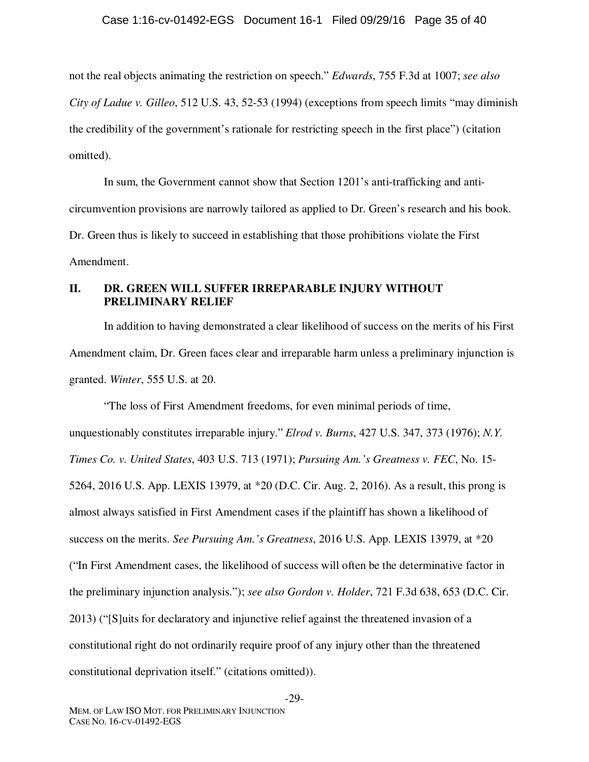### Case 1:16-cv-01492-EGS Document 16-1 Filed 09/29/16 Page 35 of 40

not the real objects animating the restriction on speech." *Edwards*, 755 F.3d at 1007; *see also City of Ladue v. Gilleo*, 512 U.S. 43, 52-53 (1994) (exceptions from speech limits "may diminish the credibility of the government's rationale for restricting speech in the first place") (citation omitted).

In sum, the Government cannot show that Section 1201's anti-trafficking and anticircumvention provisions are narrowly tailored as applied to Dr. Green's research and his book. Dr. Green thus is likely to succeed in establishing that those prohibitions violate the First Amendment.

## **II. DR. GREEN WILL SUFFER IRREPARABLE INJURY WITHOUT PRELIMINARY RELIEF**

In addition to having demonstrated a clear likelihood of success on the merits of his First Amendment claim, Dr. Green faces clear and irreparable harm unless a preliminary injunction is granted. *Winter*, 555 U.S. at 20.

"The loss of First Amendment freedoms, for even minimal periods of time, unquestionably constitutes irreparable injury." *Elrod v. Burns*, 427 U.S. 347, 373 (1976); *N.Y. Times Co. v. United States*, 403 U.S. 713 (1971); *Pursuing Am.'s Greatness v. FEC*, No. 15- 5264, 2016 U.S. App. LEXIS 13979, at \*20 (D.C. Cir. Aug. 2, 2016). As a result, this prong is almost always satisfied in First Amendment cases if the plaintiff has shown a likelihood of success on the merits. *See Pursuing Am.'s Greatness*, 2016 U.S. App. LEXIS 13979, at \*20 ("In First Amendment cases, the likelihood of success will often be the determinative factor in the preliminary injunction analysis."); *see also Gordon v. Holder*, 721 F.3d 638, 653 (D.C. Cir. 2013) ("[S]uits for declaratory and injunctive relief against the threatened invasion of a constitutional right do not ordinarily require proof of any injury other than the threatened constitutional deprivation itself." (citations omitted)).

-29-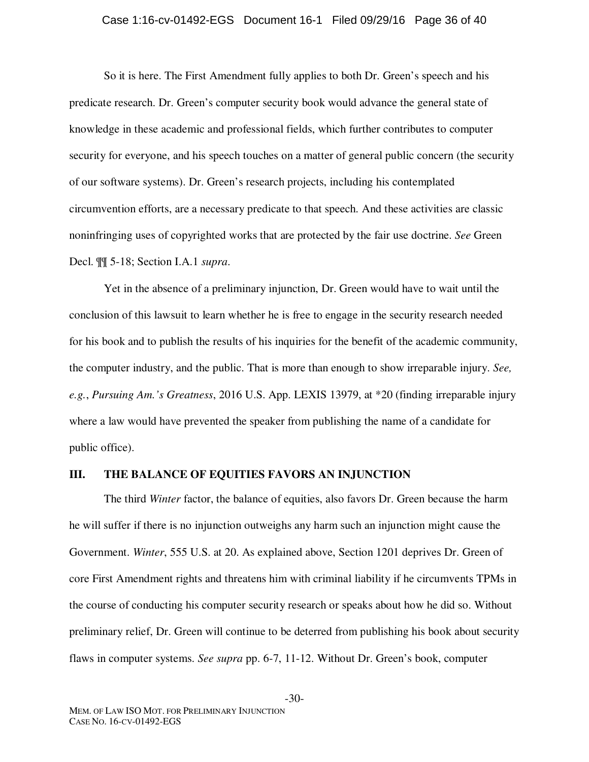#### Case 1:16-cv-01492-EGS Document 16-1 Filed 09/29/16 Page 36 of 40

So it is here. The First Amendment fully applies to both Dr. Green's speech and his predicate research. Dr. Green's computer security book would advance the general state of knowledge in these academic and professional fields, which further contributes to computer security for everyone, and his speech touches on a matter of general public concern (the security of our software systems). Dr. Green's research projects, including his contemplated circumvention efforts, are a necessary predicate to that speech. And these activities are classic noninfringing uses of copyrighted works that are protected by the fair use doctrine. *See* Green Decl. ¶¶ 5-18; Section I.A.1 *supra*.

Yet in the absence of a preliminary injunction, Dr. Green would have to wait until the conclusion of this lawsuit to learn whether he is free to engage in the security research needed for his book and to publish the results of his inquiries for the benefit of the academic community, the computer industry, and the public. That is more than enough to show irreparable injury. *See, e.g.*, *Pursuing Am.'s Greatness*, 2016 U.S. App. LEXIS 13979, at \*20 (finding irreparable injury where a law would have prevented the speaker from publishing the name of a candidate for public office).

## **III. THE BALANCE OF EQUITIES FAVORS AN INJUNCTION**

The third *Winter* factor, the balance of equities, also favors Dr. Green because the harm he will suffer if there is no injunction outweighs any harm such an injunction might cause the Government. *Winter*, 555 U.S. at 20. As explained above, Section 1201 deprives Dr. Green of core First Amendment rights and threatens him with criminal liability if he circumvents TPMs in the course of conducting his computer security research or speaks about how he did so. Without preliminary relief, Dr. Green will continue to be deterred from publishing his book about security flaws in computer systems. *See supra* pp. 6-7, 11-12. Without Dr. Green's book, computer

-30-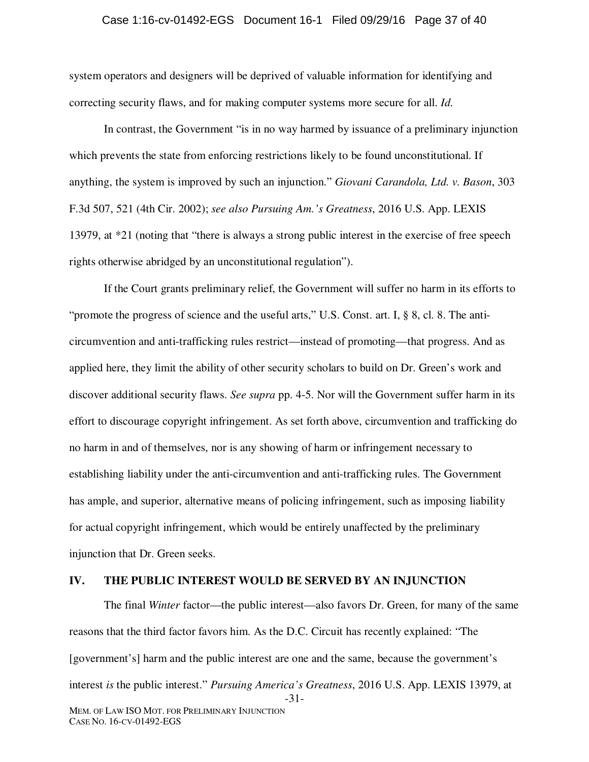#### Case 1:16-cv-01492-EGS Document 16-1 Filed 09/29/16 Page 37 of 40

system operators and designers will be deprived of valuable information for identifying and correcting security flaws, and for making computer systems more secure for all. *Id.*

In contrast, the Government "is in no way harmed by issuance of a preliminary injunction which prevents the state from enforcing restrictions likely to be found unconstitutional. If anything, the system is improved by such an injunction." *Giovani Carandola, Ltd. v. Bason*, 303 F.3d 507, 521 (4th Cir. 2002); *see also Pursuing Am.'s Greatness*, 2016 U.S. App. LEXIS 13979, at \*21 (noting that "there is always a strong public interest in the exercise of free speech rights otherwise abridged by an unconstitutional regulation").

If the Court grants preliminary relief, the Government will suffer no harm in its efforts to "promote the progress of science and the useful arts," U.S. Const. art. I, § 8, cl. 8. The anticircumvention and anti-trafficking rules restrict—instead of promoting—that progress. And as applied here, they limit the ability of other security scholars to build on Dr. Green's work and discover additional security flaws. *See supra* pp. 4-5. Nor will the Government suffer harm in its effort to discourage copyright infringement. As set forth above, circumvention and trafficking do no harm in and of themselves, nor is any showing of harm or infringement necessary to establishing liability under the anti-circumvention and anti-trafficking rules. The Government has ample, and superior, alternative means of policing infringement, such as imposing liability for actual copyright infringement, which would be entirely unaffected by the preliminary injunction that Dr. Green seeks.

#### **IV. THE PUBLIC INTEREST WOULD BE SERVED BY AN INJUNCTION**

-31- MEM. OF LAW ISO MOT. FOR PRELIMINARY INJUNCTION The final *Winter* factor—the public interest—also favors Dr. Green, for many of the same reasons that the third factor favors him. As the D.C. Circuit has recently explained: "The [government's] harm and the public interest are one and the same, because the government's interest *is* the public interest." *Pursuing America's Greatness*, 2016 U.S. App. LEXIS 13979, at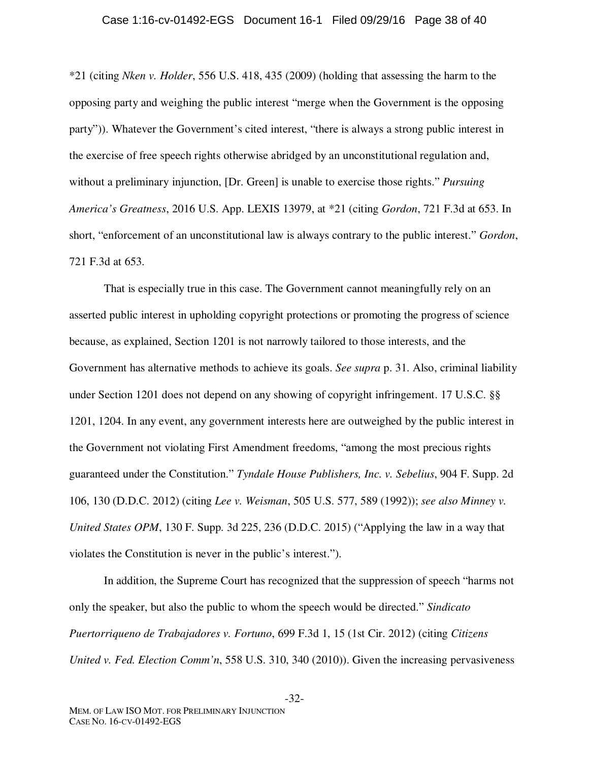#### Case 1:16-cv-01492-EGS Document 16-1 Filed 09/29/16 Page 38 of 40

\*21 (citing *Nken v. Holder*, 556 U.S. 418, 435 (2009) (holding that assessing the harm to the opposing party and weighing the public interest "merge when the Government is the opposing party")). Whatever the Government's cited interest, "there is always a strong public interest in the exercise of free speech rights otherwise abridged by an unconstitutional regulation and, without a preliminary injunction, [Dr. Green] is unable to exercise those rights." *Pursuing America's Greatness*, 2016 U.S. App. LEXIS 13979, at \*21 (citing *Gordon*, 721 F.3d at 653. In short, "enforcement of an unconstitutional law is always contrary to the public interest." *Gordon*, 721 F.3d at 653.

That is especially true in this case. The Government cannot meaningfully rely on an asserted public interest in upholding copyright protections or promoting the progress of science because, as explained, Section 1201 is not narrowly tailored to those interests, and the Government has alternative methods to achieve its goals. *See supra* p. 31. Also, criminal liability under Section 1201 does not depend on any showing of copyright infringement. 17 U.S.C. §§ 1201, 1204. In any event, any government interests here are outweighed by the public interest in the Government not violating First Amendment freedoms, "among the most precious rights guaranteed under the Constitution." *Tyndale House Publishers, Inc. v. Sebelius*, 904 F. Supp. 2d 106, 130 (D.D.C. 2012) (citing *Lee v. Weisman*, 505 U.S. 577, 589 (1992)); *see also Minney v. United States OPM*, 130 F. Supp. 3d 225, 236 (D.D.C. 2015) ("Applying the law in a way that violates the Constitution is never in the public's interest.").

In addition, the Supreme Court has recognized that the suppression of speech "harms not only the speaker, but also the public to whom the speech would be directed." *Sindicato Puertorriqueno de Trabajadores v. Fortuno*, 699 F.3d 1, 15 (1st Cir. 2012) (citing *Citizens United v. Fed. Election Comm'n*, 558 U.S. 310, 340 (2010)). Given the increasing pervasiveness

-32-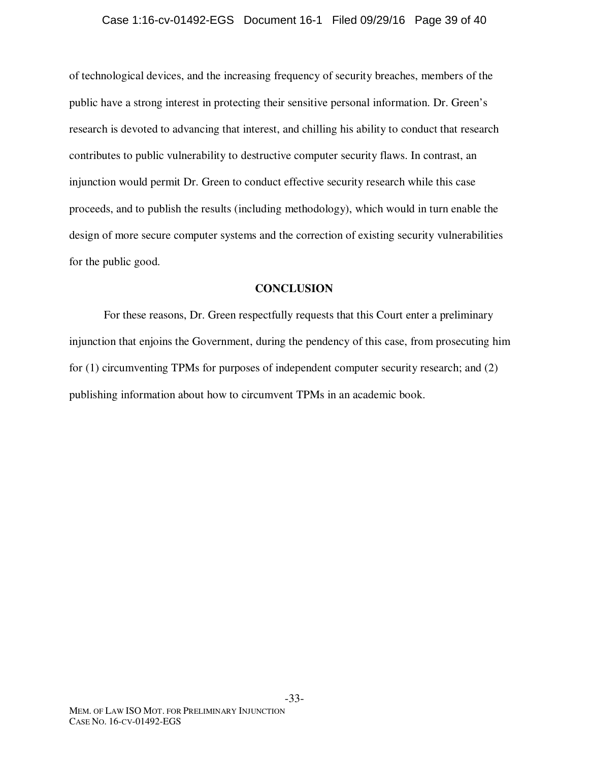#### Case 1:16-cv-01492-EGS Document 16-1 Filed 09/29/16 Page 39 of 40

of technological devices, and the increasing frequency of security breaches, members of the public have a strong interest in protecting their sensitive personal information. Dr. Green's research is devoted to advancing that interest, and chilling his ability to conduct that research contributes to public vulnerability to destructive computer security flaws. In contrast, an injunction would permit Dr. Green to conduct effective security research while this case proceeds, and to publish the results (including methodology), which would in turn enable the design of more secure computer systems and the correction of existing security vulnerabilities for the public good.

#### **CONCLUSION**

For these reasons, Dr. Green respectfully requests that this Court enter a preliminary injunction that enjoins the Government, during the pendency of this case, from prosecuting him for (1) circumventing TPMs for purposes of independent computer security research; and (2) publishing information about how to circumvent TPMs in an academic book.